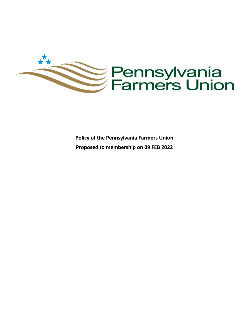

**Policy of the Pennsylvania Farmers Union Proposed to membership on 09 FEB 2022**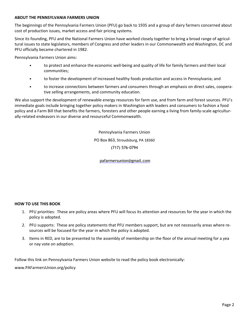## **ABOUT THE PENNSYLVANIA FARMERS UNION**

The beginnings of the Pennsylvania Farmers Union (PFU) go back to 1935 and a group of dairy farmers concerned about cost of production issues, market access and fair pricing systems.

Since its founding, PFU and the National Farmers Union have worked closely together to bring a broad range of agricultural issues to state legislators, members of Congress and other leaders in our Commonwealth and Washington, DC and PFU officially became chartered in 1982.

Pennsylvania Farmers Union aims:

- to protect and enhance the economic well-being and quality of life for family farmers and their local communities;
- to foster the development of increased healthy foods production and access in Pennsylvania; and
- to increase connections between farmers and consumers through an emphasis on direct sales, cooperative selling arrangements, and community education.

We also support the development of renewable energy resources for farm use, and from farm and forest sources. PFU's immediate goals include bringing together policy makers in Washington with leaders and consumers to fashion a food policy and a Farm Bill that benefits the farmers, foresters and other people earning a living from family-scale agriculturally-related endeavors in our diverse and resourceful Commonwealth.

> Pennsylvania Farmers Union PO Box 863, Stroudsburg, PA 18360 (717) 576-0794

[pafarmersunion@gmail.com](mailto:%252520pafarmersunion@gmail.com)

#### **HOW TO USE THIS BOOK**

- 1. PFU priorities: These are policy areas where PFU will focus its attention and resources for the year in which the policy is adopted.
- 2. PFU supports: These are policy statements that PFU members support, but are not necessarily areas where resources will be focused for the year in which the policy is adopted.
- 3. Items in RED, are to be presented to the assembly of membership on the floor of the annual meeting for a yea or nay vote on adoption.

Follow this link on Pennsylvania Farmers Union website to read the policy book electronically:

www.PAFarmersUnion.org/policy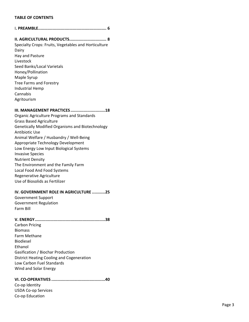## **TABLE OF CONTENTS**

|--|--|--|--|--|--|

# **II. AGRICULTURAL PRODUCTS............................... 8**

Specialty Crops: Fruits, Vegetables and Horticulture Dairy Hay and Pasture

Livestock Seed Banks/Local Varietals Honey/Pollination Maple Syrup Tree Farms and Forestry Industrial Hemp Cannabis Agritourism

## **III. MANAGEMENT PRACTICES............................. 1 8**

Organic Agriculture Programs and Standards Grass Based Agriculture Genetically Modified Organisms and Biotechnology Antibiotic Use Animal Welfare / Husbandry / Well -Being Appropriate Technology Development Low Energy Low Input Biological Systems Invasive Species Nutrient Density The Environment and the Family Farm Local Food And Food Systems Regenerative Agriculture Use of Biosolids as Fertilizer

# **IV. GOVERNMENT ROLE IN AGRICULTURE ...........25**

Government Support Government Regulation Farm Bill

# **V. ENERGY........................................................... 3 8**

Carbon Pricing Biomass Farm Methane Biodiesel Ethanol Gasification / Biochar Production District Heating Cooling and Cogeneration Low Carbon Fuel Standards Wind and Solar Energy

# **VI. CO -OPERATIVES .............................................40**

Co -op Identity USDA Co -op Services Co -op Education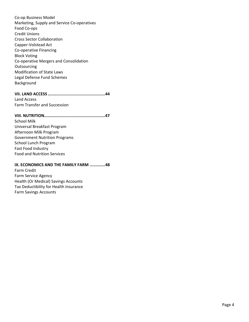Co-op Business Model Marketing, Supply and Service Co-operatives Food Co-ops Credit Unions Cross Sector Collaboration Capper-Volstead Act Co-operative Financing Block Voting Co-operative Mergers and Consolidation **Outsourcing** Modification of State Laws Legal Defense Fund Schemes Background

# **VII. LAND ACCESS ................................................44**

Land Access Farm Transfer and Succession

# **VIII. NUTRITION...................................................47**

School Milk Universal Breakfast Program Afternoon Milk Program Government Nutrition Programs School Lunch Program Fast Food Industry Food and Nutrition Services

## **IX. ECONOMICS AND THE FAMILY FARM .............48**

Farm Credit Farm Service Agency Health (Or Medical) Savings Accounts Tax Deductibility for Health Insurance Farm Savings Accounts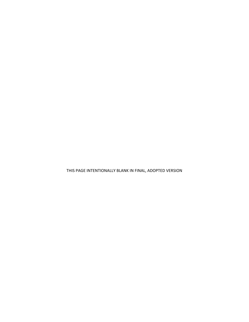THIS PAGE INTENTIONALLY BLANK IN FINAL, ADOPTED VERSION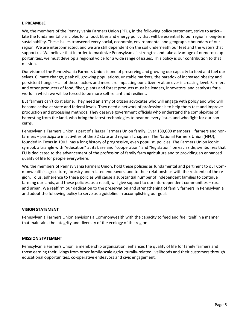#### **I. PREAMBLE**

We, the members of the Pennsylvania Farmers Union (PFU), in the following policy statement, strive to articulate the fundamental principles for a food, fiber and energy policy that will be essential to our region's long-term sustainability. These issues transcend every social, economic, environmental and geographic boundary of our region. We are interconnected, and we are still dependent on the soil underneath our feet and the waters that support us. We believe that in order to maximize Pennsylvania's strengths and take advantage of numerous opportunities, we must develop a regional voice for a wide range of issues. This policy is our contribution to that mission.

Our vision of the Pennsylvania Farmers Union is one of preserving and growing our capacity to feed and fuel ourselves. Climate change, peak oil, growing populations, unstable markets, the paradox of increased obesity and persistent hunger – all of these factors and more are impacting our citizenry at an ever increasing level. Farmers and other producers of food, fiber, plants and forest products must be leaders, innovators, and catalysts for a world in which we will be forced to be more self-reliant and resilient.

But farmers can't do it alone. They need an army of citizen advocates who will engage with policy and who will become active at state and federal levels. They need a network of professionals to help them test and improve production and processing methods. They deserve government officials who understand the complexities of harvesting from the land, who bring the latest technologies to bear on every issue, and who fight for our concerns.

Pennsylvania Farmers Union is part of a larger Farmers Union family. Over 180,000 members – farmers and nonfarmers – participate in activities of the 32 state and regional chapters. The National Farmers Union (NFU), founded in Texas in 1902, has a long history of progressive, even populist, policies. The Farmers Union iconic symbol, a triangle with "education" at its base and "cooperation" and "legislation" on each side, symbolizes that FU is dedicated to the advancement of the profession of family farm agriculture and to providing an enhanced quality of life for people everywhere.

We, the members of Pennsylvania Farmers Union, hold these policies as fundamental and pertinent to our Commonwealth's agriculture, forestry and related endeavors, and to their relationships with the residents of the region. To us, adherence to these policies will cause a substantial number of independent families to continue farming our lands, and these policies, as a result, will give support to our interdependent communities – rural and urban. We reaffirm our dedication to the preservation and strengthening of family farmers in Pennsylvania and adopt the following policy to serve as a guideline in accomplishing our goals.

## **VISION STATEMENT**

Pennsylvania Farmers Union envisions a Commonwealth with the capacity to feed and fuel itself in a manner that maintains the integrity and diversity of the ecology of the region.

#### **MISSION STATEMENT**

Pennsylvania Farmers Union, a membership organization, enhances the quality of life for family farmers and those earning their livings from other family-scale agriculturally-related livelihoods and their customers through educational opportunities, co-operative endeavors and civic engagement.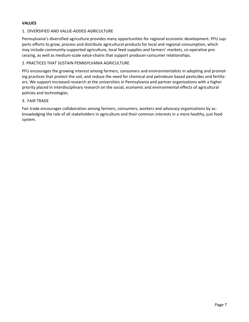# **VALUES**

## 1. DIVERSIFIED AND VALUE-ADDED AGRICULTURE

Pennsylvania's diversified agriculture provides many opportunities for regional economic development. PFU supports efforts to grow, process and distribute agricultural products for local and regional consumption, which may include community-supported agriculture, local feed supplies and farmers' markets, co-operative processing, as well as medium-scale value-chains that support producer-consumer relationships.

## 2. PRACTICES THAT SUSTAIN PENNSYLVANIA AGRICULTURE

PFU encourages the growing interest among farmers, consumers and environmentalists in adopting and promoting practices that protect the soil, and reduce the need for chemical and petroleum based pesticides and fertilizers. We support increased research at the universities in Pennsylvania and partner organizations with a higher priority placed in interdisciplinary research on the social, economic and environmental effects of agricultural policies and technologies.

## 3. FAIR TRADE

Fair trade encourages collaboration among farmers, consumers, workers and advocacy organizations by acknowledging the role of all stakeholders in agriculture and their common interests in a more healthy, just food system.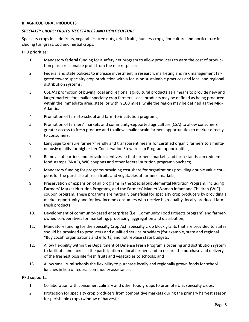#### **II. AGRICULTURAL PRODUCTS**

## *SPECIALTY CROPS: FRUITS, VEGETABLES AND HORTICULTURE*

Specialty crops include fruits, vegetables, tree nuts, dried fruits, nursery crops, floriculture and horticulture including turf grass, sod and herbal crops.

PFU priorities:

- 1. Mandatory federal funding for a safety net program to allow producers to earn the cost of production plus a reasonable profit from the marketplace;
- 2. Federal and state policies to increase investment in research, marketing and risk management targeted toward specialty crop production with a focus on sustainable practices and local and regional distribution systems;
- 3. USDA's promotion of buying local and regional agricultural products as a means to provide new and larger markets for smaller specialty crop farmers. Local products may be defined as being produced within the immediate area, state, or within 100 miles, while the region may be defined as the Mid-Atlantic;
- 4. Promotion of farm-to-school and farm-to-institution programs;
- 5. Promotion of farmers' markets and community-supported agriculture (CSA) to allow consumers greater access to fresh produce and to allow smaller-scale farmers opportunities to market directly to consumers;
- 6. Language to ensure farmer-friendly and transparent means for certified organic farmers to simultaneously qualify for higher tier Conservation Stewardship Program opportunities;
- 7. Removal of barriers and provide incentives so that farmers' markets and farm stands can redeem food stamps (SNAP), WIC coupons and other federal nutrition program vouchers;
- 8. Mandatory funding for programs providing cost share for organizations providing double value coupons for the purchase of fresh fruits and vegetables at farmers' markets;
- 9. Preservation or expansion of all programs in the Special Supplemental Nutrition Program, including Farmers' Market Nutrition Programs, and the Farmers' Market Women Infant and Children (WIC) coupon program. These programs are mutually beneficial for specialty crop producers by providing a market opportunity and for low-income consumers who receive high-quality, locally produced farm fresh products;
- 10. Development of community-based enterprises (i.e., Community Food Projects program) and farmerowned co-operatives for marketing, processing, aggregation and distribution;
- 11. Mandatory funding for the Specialty Crop Act. Specialty crop block grants that are provided to states should be provided to producers and qualified service providers (for example, state and regional "Buy Local" organizations and efforts) and not replace state budgets;
- 12. Allow flexibility within the Department of Defense Fresh Program's ordering and distribution system to facilitate and increase the participation of local farmers and to ensure the purchase and delivery of the freshest possible fresh fruits and vegetables to schools; and
- 13. Allow small rural schools the flexibility to purchase locally and regionally grown foods for school lunches in lieu of federal commodity assistance.

- 1. Collaboration with consumer, culinary and other food groups to promote U.S. specialty crops;
- 2. Protection for specialty crop producers from competitive markets during the primary harvest season for perishable crops (window of harvest);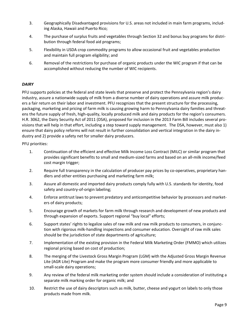- 3. Geographically Disadvantaged provisions for U.S. areas not included in main farm programs, including Alaska, Hawaii and Puerto Rico;
- 4. The purchase of surplus fruits and vegetables through Section 32 and bonus buy programs for distribution through federal food aid programs;
- 5. Flexibility in USDA crop commodity programs to allow occasional fruit and vegetables production and maintain full program eligibility; and
- 6. Removal of the restrictions for purchase of organic products under the WIC program if that can be accomplished without reducing the number of WIC recipients.

# *DAIRY*

PFU supports policies at the federal and state levels that preserve and protect the Pennsylvania region's dairy industry, assure a nationwide supply of milk from a diverse number of dairy operations and assure milk producers a fair return on their labor and investment. PFU recognizes that the present structure for the processing, packaging, marketing and pricing of farm milk is causing growing harm to Pennsylvania dairy families and threatens the future supply of fresh, high-quality, locally produced milk and dairy products for the region's consumers. H.R. 3062, the Dairy Security Act of 2011 (DSA), proposed for inclusion in the 2013 Farm Bill includes several provisions that will help in that effort, including a step toward supply management. The DSA, however, must also 1) ensure that dairy policy reforms will not result in further consolidation and vertical integration in the dairy industry and 2) provide a safety net for smaller dairy producers.

PFU priorities:

- 1. Continuation of the efficient and effective Milk Income Loss Contract (MILC) or similar program that provides significant benefits to small and medium-sized farms and based on an all-milk income/feed cost margin trigger;
- 2. Require full transparency in the calculation of producer pay prices by co-operatives, proprietary handlers and other entities purchasing and marketing farm milk;
- 3. Assure all domestic and imported dairy products comply fully with U.S. standards for identity, food safety and country-of-origin labeling;
- 4. Enforce antitrust laws to prevent predatory and anticompetitive behavior by processors and marketers of dairy products;
- 5. Encourage growth of markets for farm milk through research and development of new products and through expansion of exports. Support regional "buy local" efforts;
- 6. Support states' rights to legalize sales of raw milk and raw milk products to consumers, in conjunction with rigorous milk-handling inspections and consumer education. Oversight of raw milk sales should be the jurisdiction of state departments of agriculture;
- 7. Implementation of the existing provision in the Federal Milk Marketing Order (FMMO) which utilizes regional pricing based on cost of production;
- 8. The merging of the Livestock Gross Margin Program (LGM) with the Adjusted Gross Margin Revenue Lite (AGR Lite) Program and make the program more consumer friendly and more applicable to small-scale dairy operations;
- 9. Any review of the federal milk marketing order system should include a consideration of instituting a separate milk marking order for organic milk; and
- 10. Restrict the use of dairy descriptors such as milk, butter, cheese and yogurt on labels to only those products made from milk.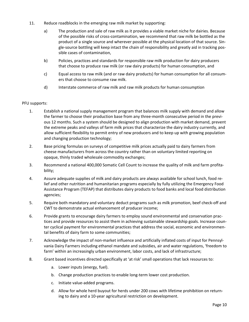- 11. Reduce roadblocks in the emerging raw milk market by supporting:
	- a) The production and sale of raw milk as it provides a viable market niche for dairies. Because of the possible risks of cross-contamination, we recommend that raw milk be bottled as the product of a single source and wherever possible at the physical location of that source. Single-source bottling will keep intact the chain of responsibility and greatly aid in tracking possible cases of contamination,
	- b) Policies, practices and standards for responsible raw milk production for dairy producers that choose to produce raw milk (or raw dairy products) for human consumption, and
	- c) Equal access to raw milk (and or raw dairy products) for human consumption for all consumers that choose to consume raw milk.
	- d) Interstate commerce of raw milk and raw milk products for human consumption

- 1. Establish a national supply management program that balances milk supply with demand and allow the farmer to choose their production base from any three-month consecutive period in the previous 12 months. Such a system should be designed to align production with market demand, prevent the extreme peaks and valleys of farm milk prices that characterize the dairy industry currently, and allow sufficient flexibility to permit entry of new producers and to keep up with growing population and changing production technology;
- 2. Base pricing formulas on surveys of competitive milk prices actually paid to dairy farmers from cheese manufacturers from across the country rather than on voluntary limited reporting on opaque, thinly traded wholesale commodity exchanges;
- 3. Recommend a national 400,000 Somatic Cell Count to increase the quality of milk and farm profitability;
- 4. Assure adequate supplies of milk and dairy products are always available for school lunch, food relief and other nutrition and humanitarian programs especially by fully utilizing the Emergency Food Assistance Program (TEFAP) that distributes dairy products to food banks and local food distribution agencies;
- 5. Require both mandatory and voluntary deduct programs such as milk promotion, beef check-off and CWT to demonstrate actual enhancement of producer income;
- 6. Provide grants to encourage dairy farmers to employ sound environmental and conservation practices and provide resources to assist them in achieving sustainable stewardship goals. Increase counter cyclical payment for environmental practices that address the social, economic and environmental benefits of dairy farm to some communities;
- 7. Acknowledge the impact of non-market influence and artificially inflated costs of input for Pennsylvania Dairy Farmers including ethanol mandate and subsidies, air and water regulations, 'freedom to farm' within an increasingly urban environment, labor costs, and lack of infrastructure;
- 8. Grant based incentives directed specifically at 'at risk' small operations that lack resources to:
	- a. Lower inputs (energy, fuel).
	- b. Change production practices to enable long-term lower cost production.
	- c. Initiate value-added programs.
	- d. Allow for whole herd buyout for herds under 200 cows with lifetime prohibition on returning to dairy and a 10-year agricultural restriction on development.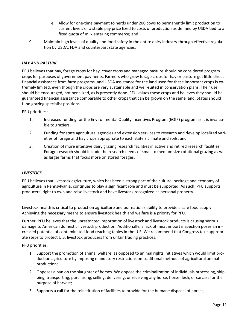- e. Allow for one-time payment to herds under 200 cows to permanently limit production to current levels or a stable pay price fixed to costs of production as defined by USDA tied to a fixed quota of milk entering commerce; and
- 9. Maintain high levels of quality and food safety in the entire dairy industry through effective regulation by USDA, FDA and counterpart state agencies.

# *HAY AND PASTURE*

PFU believes that hay, forage crops for hay, cover crops and managed pasture should be considered program crops for purposes of government payments. Farmers who grow forage crops for hay or pasture get little direct financial assistance from farm programs, and USDA assistance for the land used for these important crops is extremely limited, even though the crops are very sustainable and well-suited in conservation plans. Their use should be encouraged, not penalized, as is presently done. PFU values these crops and believes they should be guaranteed financial assistance comparable to other crops that can be grown on the same land. States should fund grazing specialist positions.

PFU priorities:

- 1. Increased funding for the Environmental Quality Incentives Program (EQIP) program as it is invaluable to graziers;
- 2. Funding for state agricultural agencies and extension services to research and develop localized varieties of forage and hay crops appropriate to each state's climate and soils; and
- 3. Creation of more intensive dairy grazing research facilities in active and retired research facilities. Forage research should include the research needs of small to medium size rotational grazing as well as larger farms that focus more on stored forages.

## *LIVESTOCK*

PFU believes that livestock agriculture, which has been a strong part of the culture, heritage and economy of agriculture in Pennsylvania, continues to play a significant role and must be supported. As such, PFU supports producers' right to own and raise livestock and have livestock recognized as personal property.

Livestock health is critical to production agriculture and our nation's ability to provide a safe food supply. Achieving the necessary means to ensure livestock health and welfare is a priority for PFU.

Further, PFU believes that the unrestricted importation of livestock and livestock products is causing serious damage to American domestic livestock production. Additionally, a lack of meat import inspection poses an increased potential of contaminated food reaching tables in the U.S. We recommend that Congress take appropriate steps to protect U.S. livestock producers from unfair trading practices.

PFU priorities:

- 1. Support the promotion of animal welfare, as opposed to animal rights initiatives which would limit production agriculture by imposing mandatory restrictions on traditional methods of agricultural animal production;
- 2. Opposes a ban on the slaughter of horses. We oppose the criminalization of individuals processing, shipping, transporting, purchasing, selling, delivering, or receiving any horse, horse flesh, or carcass for the purpose of harvest;
- 3. Supports a call for the reinstitution of facilities to provide for the humane disposal of horses;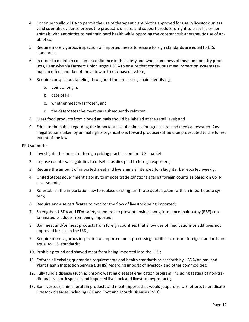- 4. Continue to allow FDA to permit the use of therapeutic antibiotics approved for use in livestock unless valid scientific evidence proves the product is unsafe, and support producers' right to treat his or her animals with antibiotics to maintain herd health while opposing the constant sub-therapeutic use of antibiotics;
- 5. Require more vigorous inspection of imported meats to ensure foreign standards are equal to U.S. standards;
- 6. In order to maintain consumer confidence in the safety and wholesomeness of meat and poultry products, Pennsylvania Farmers Union urges USDA to ensure that continuous meat inspection systems remain in effect and do not move toward a risk-based system;
- 7. Require conspicuous labeling throughout the processing chain identifying:
	- a. point of origin,
	- b. date of kill,
	- c. whether meat was frozen, and
	- d. the date/dates the meat was subsequently refrozen;
- 8. Meat food products from cloned animals should be labeled at the retail level; and
- 9. Educate the public regarding the important use of animals for agricultural and medical research. Any illegal actions taken by animal rights organizations toward producers should be prosecuted to the fullest extent of the law.

- 1. Investigate the impact of foreign pricing practices on the U.S. market;
- 2. Impose countervailing duties to offset subsidies paid to foreign exporters;
- 3. Require the amount of imported meat and live animals intended for slaughter be reported weekly;
- 4. United States government's ability to impose trade sanctions against foreign countries based on USTR assessments;
- 5. Re-establish the importation law to replace existing tariff-rate quota system with an import quota system;
- 6. Require end-use certificates to monitor the flow of livestock being imported;
- 7. Strengthen USDA and FDA safety standards to prevent bovine spongiform encephalopathy (BSE) contaminated products from being imported;
- 8. Ban meat and/or meat products from foreign countries that allow use of medications or additives not approved for use in the U.S.;
- 9. Require more vigorous inspection of imported meat processing facilities to ensure foreign standards are equal to U.S. standards;
- 10. Prohibit ground and shaved meat from being imported into the U.S.;
- 11. Enforce all existing quarantine requirements and health standards as set forth by USDA/Animal and Plant Health Inspection Service (APHIS) regarding imports of livestock and other commodities;
- 12. Fully fund a disease (such as chronic wasting disease) eradication program, including testing of non-traditional livestock species and imported livestock and livestock byproducts;
- 13. Ban livestock, animal protein products and meat imports that would jeopardize U.S. efforts to eradicate livestock diseases including BSE and Foot and Mouth Disease (FMD);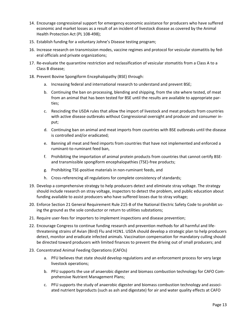- 14. Encourage congressional support for emergency economic assistance for producers who have suffered economic and market losses as a result of an incident of livestock disease as covered by the Animal Health Protection Act (PL 108-498);
- 15. Establish funding for a voluntary Johne's Disease testing program;
- 16. Increase research on transmission modes, vaccine regimes and protocol for vesicular stomatitis by federal officials and private organizations;
- 17. Re-evaluate the quarantine restriction and reclassification of vesicular stomatitis from a Class A to a Class B disease;
- 18. Prevent Bovine Spongiform Encephalopathy (BSE) through:
	- a. Increasing federal and international research to understand and prevent BSE;
	- b. Continuing the ban on processing, blending and shipping, from the site where tested, of meat from an animal that has been tested for BSE until the results are available to appropriate parties;
	- c. Rescinding the USDA rules that allow the import of livestock and meat products from countries with active disease outbreaks without Congressional oversight and producer and consumer input;
	- d. Continuing ban on animal and meat imports from countries with BSE outbreaks until the disease is controlled and/or eradicated;
	- e. Banning all meat and feed imports from countries that have not implemented and enforced a ruminant-to-ruminant feed ban,
	- f. Prohibiting the importation of animal protein products from countries that cannot certify BSEand transmissible spongiform encephalopathies (TSE)-free products;
	- g. Prohibiting TSE-positive materials in non-ruminant feeds, and
	- h. Cross-referencing all regulations for complete consistency of standards;
- 19. Develop a comprehensive strategy to help producers detect and eliminate stray voltage. The strategy should include research on stray voltage, inspectors to detect the problem, and public education about funding available to assist producers who have suffered losses due to stray voltage;
- 20. Enforce Section 21 General Requirement Rule 215-B of the National Electric Safety Code to prohibit using the ground as the sole conductor or return to utilities substations;
- 21. Require user-fees for importers to implement inspections and disease prevention;
- 22. Encourage Congress to continue funding research and prevention methods for all harmful and lifethreatening strains of Avian (Bird) Flu and H1N1. USDA should develop a strategic plan to help producers detect, monitor and eradicate infected animals. Vaccination compensation for mandatory culling should be directed toward producers with limited finances to prevent the driving out of small producers; and
- 23. Concentrated Animal Feeding Operations (CAFOs)
	- a. PFU believes that state should develop regulations and an enforcement process for very large livestock operations;
	- b. PFU supports the use of anaerobic digester and biomass combustion technology for CAFO Comprehensive Nutrient Management Plans;
	- c. PFU supports the study of anaerobic digester and biomass combustion technology and associated nutrient byproducts (such as ash and digestate) for air and water quality effects at CAFO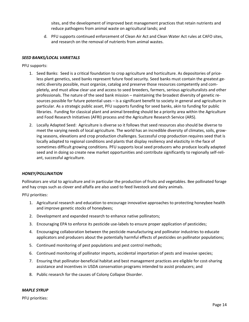sites, and the development of improved best management practices that retain nutrients and reduce pathogens from animal waste on agricultural lands; and

d. PFU supports continued enforcement of Clean Air Act and Clean Water Act rules at CAFO sites, and research on the removal of nutrients from animal wastes.

## *SEED BANKS/LOCAL VARIETALS*

PFU supports:

- 1. Seed Banks: Seed is a critical foundation to crop agriculture and horticulture. As depositories of priceless plant genetics, seed banks represent future food security. Seed banks must contain the greatest genetic diversity possible, must organize, catalog and preserve those resources competently and completely, and must allow clear use and access to seed breeders, farmers, serious agriculturalists and other professionals. The nature of the seed bank mission – maintaining the broadest diversity of genetic resources possible for future potential uses – is a significant benefit to society in general and agriculture in particular. As a strategic public asset, PFU supports funding for seed banks, akin to funding for public libraries. Funding for classical plant and animal breeding should be a priority area within the Agriculture and Food Research Initiatives (AFRI) process and the Agriculture Research Service (ARS).
- 2. Locally Adapted Seed: Agriculture is diverse so it follows that seed resources also should be diverse to meet the varying needs of local agriculture. The world has an incredible diversity of climates, soils, growing seasons, elevations and crop production challenges. Successful crop production requires seed that is locally adapted to regional conditions and plants that display resiliency and elasticity in the face of sometimes difficult growing conditions. PFU supports local seed producers who produce locally adapted seed and in doing so create new market opportunities and contribute significantly to regionally self-reliant, successful agriculture.

#### *HONEY/POLLINATION*

Pollinators are vital to agriculture and in particular the production of fruits and vegetables. Bee pollinated forage and hay crops such as clover and alfalfa are also used to feed livestock and dairy animals.

PFU priorities:

- 1. Agricultural research and education to encourage innovative approaches to protecting honeybee health and improve genetic stocks of honeybees;
- 2. Development and expanded research to enhance native pollinators;
- 3. Encouraging EPA to enforce its pesticide use-labels to ensure proper application of pesticides;
- 4. Encouraging collaboration between the pesticide manufacturing and pollinator industries to educate applicators and producers about the potentially harmful effects of pesticides on pollinator populations;
- 5. Continued monitoring of pest populations and pest control methods;
- 6. Continued monitoring of pollinator imports, accidental importation of pests and invasive species;
- 7. Ensuring that pollinator-beneficial habitat and best management practices are eligible for cost-sharing assistance and incentives in USDA conservation programs intended to assist producers; and
- 8. Public research for the causes of Colony Collapse Disorder.

#### *MAPLE SYRUP*

PFU priorities: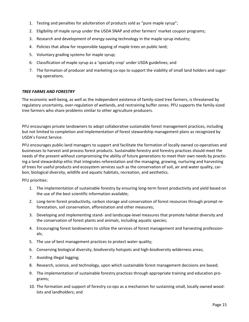- 1. Testing and penalties for adulteration of products sold as "pure maple syrup";
- 2. Eligibility of maple syrup under the USDA SNAP and other farmers' market coupon programs;
- 3. Research and development of energy-saving technology in the maple syrup industry;
- 4. Policies that allow for responsible tapping of maple trees on public land;
- 5. Voluntary grading systems for maple syrup;
- 6. Classification of maple syrup as a 'specialty crop' under USDA guidelines; and
- 7. The formation of producer and marketing co-ops to support the viability of small land holders and sugaring operations.

## *TREE FARMS AND FORESTRY*

The economic well-being, as well as the independent existence of family-sized tree farmers, is threatened by regulatory uncertainty, over-regulation of wetlands, and restraining buffer zones. PFU supports the family-sized tree farmers who share problems similar to other agriculture producers.

PFU encourages private landowners to adopt collaborative sustainable forest management practices, including but not limited to completion and implementation of forest stewardship management plans as recognized by USDA's Forest Service.

PFU encourages public-land managers to support and facilitate the formation of locally owned co-operatives and businesses to harvest and process forest products. Sustainable forestry and forestry practices should meet the needs of the present without compromising the ability of future generations to meet their own needs by practicing a land stewardship ethic that integrates reforestation and the managing, growing, nurturing and harvesting of trees for useful products and ecosystem services such as the conservation of soil, air and water quality, carbon, biological diversity, wildlife and aquatic habitats, recreation, and aesthetics.

PFU priorities:

- 1. The implementation of sustainable forestry by ensuring long-term forest productivity and yield based on the use of the best scientific information available;
- 2. Long-term forest productivity, carbon storage and conservation of forest resources through prompt reforestation, soil conservation, afforestation and other measures;
- 3. Developing and implementing stand- and landscape-level measures that promote habitat diversity and the conservation of forest plants and animals, including aquatic species;
- 4. Encouraging forest landowners to utilize the services of forest management and harvesting professionals;
- 5. The use of best management practices to protect water quality;
- 6. Conserving biological diversity, biodiversity hotspots and high-biodiversity wilderness areas;
- 7. Avoiding illegal logging;
- 8. Research, science, and technology, upon which sustainable forest management decisions are based;
- 9. The implementation of sustainable forestry practices through appropriate training and education programs;
- 10. The formation and support of forestry co-ops as a mechanism for sustaining small, locally owned woodlots and landholders; and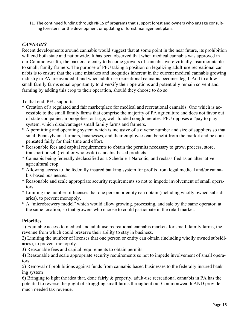11. The continued funding through NRCS of programs that support forestland owners who engage consulting foresters for the development or updating of forest management plans.

# *CANNABIS*

Recent developments around cannabis would suggest that at some point in the near future, its prohibition will end both state and nationwide. It has been observed that when medical cannabis was approved in our Commonwealth, the barriers to entry to become growers of cannabis were virtually insurmountable to small, family farmers. The purpose of PFU taking a position on legalizing adult-use recreational cannabis is to ensure that the same mistakes and inequities inherent in the current medical cannabis growing industry in PA are avoided if and when adult-use recreational cannabis becomes legal. And to allow small family farms equal opportunity to diversify their operations and potentially remain solvent and farming by adding this crop to their operation, should they choose to do so.

To that end, PFU supports:

- \* Creation of a regulated and fair marketplace for medical and recreational cannabis. One which is accessible to the small family farms that comprise the majority of PA agriculture and does not favor out of state companies, monopolies, or large, well-funded conglomerates. PFU opposes a "pay to play" system, which disadvantages small family farms and farmers.
- \* A permitting and operating system which is inclusive of a diverse number and size of suppliers so that small Pennsylvania farmers, businesses, and their employees can benefit from the market and be compensated fairly for their time and effort.
- \* Reasonable fees and capital requirements to obtain the permits necessary to grow, process, store, transport or sell (retail or wholesale) cannabis-based products
- \* Cannabis being federally declassified as a Schedule 1 Narcotic, and reclassified as an alternative agricultural crop.
- \* Allowing access to the federally insured banking system for profits from legal medical and/or cannabis-based businesses.
- \* Reasonable and scale appropriate security requirements so not to impede involvement of small operators
- \* Limiting the number of licenses that one person or entity can obtain (including wholly owned subsidiaries), to prevent monopoly.
- \* A "microbrewery model" which would allow growing, processing, and sale by the same operator, at the same location, so that growers who choose to could participate in the retail market.

# **Priorities**

1) Equitable access to medical and adult use recreational cannabis markets for small, family farms, the revenue from which could preserve their ability to stay in business.

2) Limiting the number of licenses that one person or entity can obtain (including wholly owned subsidiaries), to prevent monopoly.

3) Reasonable fees and capital requirements to obtain permits

4) Reasonable and scale appropriate security requirements so not to impede involvement of small operators

5) Removal of prohibitions against funds from cannabis-based businesses to the federally insured banking system

6) Bringing to light the idea that, done fairly & properly, adult-use recreational cannabis in PA has the potential to reverse the plight of struggling small farms throughout our Commonwealth AND provide much needed tax revenue.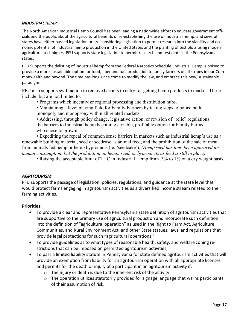# *INDUSTRIAL HEMP*

The North American Industrial Hemp Council has been leading a nationwide effort to educate government officials and the public about the agricultural benefits of re-establishing the use of industrial hemp, and several states have either passed legislation or are considering legislation to permit research into the viability and economic potential of industrial hemp production in the United States and the planting of test plots using modern agricultural techniques. PFU supports state legislation to permit research and test plots in the Pennsylvania states.

PFU Supports the delisting of industrial hemp from the Federal Narcotics Schedule. Industrial Hemp is poised to provide a more sustainable option for food, fiber and fuel production to family farmers of all stripes in our Commonwealth and beyond. The time has long since come to modify the law, and embrace this new, sustainable paradigm.

PFU also supports swift action to remove barriers to entry for getting hemp products to market. These include, but are not limited to:

- Programs which incentivize regional processing and distribution hubs.
- Maintaining a level playing field for Family Farmers by taking steps to police both monopoly and monopsony within all related markets
- Addressing, through policy change, legislative action, or revision of "relic" regulations the barriers to Industrial hemp becoming a viable, profitable option for Family Farms who chose to grow it

• Expediting the repeal of common sense barriers in markets such as industrial hemp's use as a renewable building material, seed or seedcase as animal feed, and the prohibition of the sale of meat from animals fed hemp or hemp byproducts (ie: 'seedcake'). *(Hemp seed has long been approved for human consumption, but the prohibition on hemp, seed, or byproducts as feed is still in place)*

• Raising the acceptable limit of THC in Industrial Hemp from .3% to 1% on a dry weight basis.

# *AGRITOURISM*

PFU supports the passage of legislation, policies, regulations, and guidance at the state level that would protect farms engaging in agritourism activities as a diversified income stream related to their farming activities.

# **Priorities:**

- To provide a clear and representative Pennsylvania state definition of agritourism activities that are supportive to the primary use of agricultural production and incorporate such definition into the definition of "agricultural operation" as used in the Right to Farm Act, Agriculture, Communities, and Rural Environment Act, and other State statues, laws, and regulations that provide legal protections for such "agricultural operations;"
- To provide guidelines as to what types of reasonable health, safety, and welfare zoning restrictions that can be imposed on permitted agritourism activities;
- To pass a limited liability statute in Pennsylvania for state defined agritourism activities that will provide an exemption from liability for an agritourism operation with all appropriate licenses and permits for the death or injury of a participant in an agritourism activity if:
	- $\circ$  The injury or death is due to the inherent risk of the activity
	- o The operation utilizes statutorily provided for signage language that warns participants of their assumption of risk.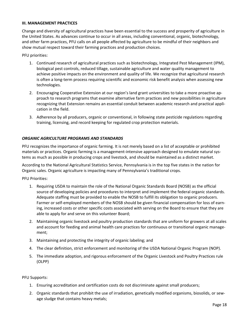#### **III. MANAGEMENT PRACTICES**

Change and diversity of agricultural practices have been essential to the success and prosperity of agriculture in the United States. As advances continue to occur in all areas, including conventional, organic, biotechnology, and other farm practices, PFU calls on all people affected by agriculture to be mindful of their neighbors and show mutual respect toward their farming practices and production choices.

PFU priorities:

- 1. Continued research of agricultural practices such as biotechnology, Integrated Pest Management (IPM), biological pest controls, reduced tillage, sustainable agriculture and water quality management to achieve positive impacts on the environment and quality of life. We recognize that agricultural research is often a long-term process requiring scientific and economic risk benefit analysis when assessing new technologies.
- 2. Encouraging Cooperative Extension at our region's land grant universities to take a more proactive approach to research programs that examine alternative farm practices and new possibilities in agriculture recognizing that Extension remains an essential conduit between academic research and practical application in the field.
- 3. Adherence by all producers, organic or conventional, in following state pesticide regulations regarding training, licensing, and record keeping for regulated crop protection materials.

## *ORGANIC AGRICULTURE PROGRAMS AND STANDARDS*

PFU recognizes the importance of organic farming. It is not merely based on a list of acceptable or prohibited materials or practices. Organic farming is a management-intensive approach designed to emulate natural systems as much as possible in producing crops and livestock, and should be maintained as a distinct market.

According to the National Agricultural Statistics Service, Pennsylvania is in the top five states in the nation for Organic sales. Organic agriculture is impacting many of Pennsylvania's traditional crops.

PFU Priorities:

- 1. Requiring USDA to maintain the role of the National Organic Standards Board (NOSB) as the official source of developing policies and procedures to interpret and implement the federal organic standards. Adequate staffing must be provided to enable the NOSB to fulfill its obligation to organic producers. Farmer or self-employed members of the NOSB should be given financial compensation for loss of earning, increased costs or other specific costs associated with serving on the Board to ensure that they are able to apply for and serve on this volunteer Board;
- 2. Maintaining organic livestock and poultry production standards that are uniform for growers at all scales and account for feeding and animal health care practices for continuous or transitional organic management;
- 3. Maintaining and protecting the integrity of organic labeling; and
- 4. The clear definition, strict enforcement and monitoring of the USDA National Organic Program (NOP).
- 5. The immediate adoption, and rigorous enforcement of the Organic Livestock and Poultry Practices rule (OLPP)

- 1. Ensuring accreditation and certification costs do not discriminate against small producers;
- 2. Organic standards that prohibit the use of irradiation, genetically modified organisms, biosolids, or sewage sludge that contains heavy metals;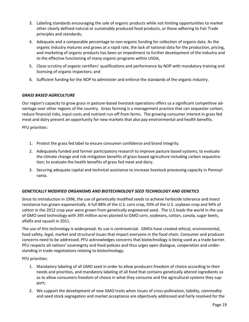- 3. Labeling standards encouraging the sale of organic products while not limiting opportunities to market other clearly defined natural or sustainably produced food products, or those adhering to Fair Trade principles and standards;
- 4. Adequate and a comparable percentage to non-organic funding for collection of organic data. As the organic industry matures and grows at a rapid rate, the lack of national data for the production, pricing, and marketing of organic products has been an impediment to further development of the industry and to the effective functioning of many organic programs within USDA;
- 5. Close scrutiny of organic certifiers' qualifications and performance by NOP with mandatory training and licensing of organic inspectors; and
- 6. Sufficient funding for the NOP to administer and enforce the standards of the organic industry.

# *GRASS BASED AGRICULTURE*

Our region's capacity to grow grass in pasture-based livestock operations offers us a significant competitive advantage over other regions of the country. Grass farming is a management practice that can sequester carbon, reduce financial risks, input costs and nutrient run-off from farms. The growing consumer interest in grass fed meat and dairy present an opportunity for new markets that also pay environmental and health benefits.

PFU priorities:

- 1. Protect the grass fed label to ensure consumer confidence and brand integrity.
- 2. Adequately funded and farmer participatory research to improve pasture based systems; to evaluate the climate change and risk mitigation benefits of grass-based agriculture including carbon sequestration; to evaluate the health benefits of grass fed meat and dairy.
- 3. Securing adequate capital and technical assistance to increase livestock processing capacity in Pennsylvania.

# *GENETICALLY MODIFIED ORGANISMS AND BIOTECHNOLOGY SEED TECHNOLOGY AND GENETICS*

Since its introduction in 1996, the use of genetically modified seeds to achieve herbicide tolerance and insect resistance has grown exponentially. A full 88% of the U.S. corn crop, 93% of the U.S. soybean crop and 94% of cotton in the 2012 crop year were grown from genetically engineered seed. The U.S leads the world in the use of GMO seed technology with 395 million acres planted to GMO corn, soybeans, cotton, canola, sugar beets, alfalfa and squash in 2011.

The use of this technology is widespread. Its use is controversial. GMOs have created ethical, environmental, food safety, legal, market and structural issues that impact everyone in the food chain. Consumer and producer concerns need to be addressed. PFU acknowledges concerns that biotechnology is being used as a trade barrier. PFU respects all nations' sovereignty and food policies and thus urges open dialogue, cooperation and understanding in trade negotiations relating to biotechnology.

PFU priorities:

- 1. Mandatory labeling of all GMO seed in order to allow producers freedom of choice according to their needs and priorities, and mandatory labeling of all food that contains genetically altered ingredients so as to allow consumers freedom of choice in what they consume and the agricultural systems they support;
- 2. We support the development of new GMO traits when issues of cross-pollination, liability, commodity and seed stock segregation and market acceptance are objectively addressed and fairly resolved for the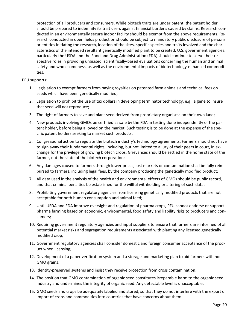protection of all producers and consumers. While biotech traits are under patent, the patent holder should be prepared to indemnify its trait users against financial burdens caused by claims. Research conducted in an environmentally secure indoor facility should be exempt from the above requirements. Research conducted in open fields production should be subject to mandatory public disclosure of persons or entities initiating the research, location of the sites, specific species and traits involved and the characteristics of the intended resultant genetically modified plant to be created. U.S. government agencies, particularly the USDA and the Food and Drug Administration (FDA) should continue to serve their respective roles in providing unbiased, scientifically-based evaluations concerning the human and animal safety and wholesomeness, as well as the environmental impacts of biotechnology-enhanced commodities.

- 1. Legislation to exempt farmers from paying royalties on patented farm animals and technical fees on seeds which have been genetically modified;
- 2. Legislation to prohibit the use of tax dollars in developing terminator technology, e.g., a gene to insure that seed will not reproduce;
- 3. The right of farmers to save and plant seed derived from proprietary organisms on their own land;
- 4. New products involving GMOs be certified as safe by the FDA in testing done independently of the patent holder, before being allowed on the market. Such testing is to be done at the expense of the specific patent holders seeking to market such products;
- 5. Congressional action to regulate the biotech industry's technology agreements. Farmers should not have to sign away their fundamental rights, including, but not limited to a jury of their peers in court, in exchange for the privilege of growing biotech crops. Grievances should be settled in the home state of the farmer, not the state of the biotech corporation;
- 6. Any damages caused to farmers through lower prices, lost markets or contamination shall be fully reimbursed to farmers, including legal fees, by the company producing the genetically modified product;
- 7. All data used in the analysis of the health and environmental effects of GMOs should be public record, and that criminal penalties be established for the willful withholding or altering of such data;
- 8. Prohibiting government regulatory agencies from licensing genetically modified products that are not acceptable for both human consumption and animal feed;
- 9. Until USDA and FDA improve oversight and regulation of pharma crops, PFU cannot endorse or support pharma farming based on economic, environmental, food safety and liability risks to producers and consumers;
- 10. Requiring government regulatory agencies and input suppliers to ensure that farmers are informed of all potential market risks and segregation requirements associated with planting any licensed genetically modified crop;
- 11. Government regulatory agencies shall consider domestic and foreign consumer acceptance of the product when licensing;
- 12. Development of a paper verification system and a storage and marketing plan to aid farmers with non-GMO grains;
- 13. Identity-preserved systems and insist they receive protection from cross contamination;
- 14. The position that GMO contamination of organic seed constitutes irreparable harm to the organic seed industry and undermines the integrity of organic seed. Any detectable level is unacceptable;
- 15. GMO seeds and crops be adequately labeled and stored, so that they do not interfere with the export or import of crops and commodities into countries that have concerns about them.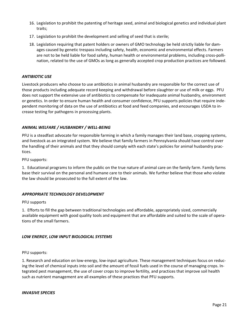- 16. Legislation to prohibit the patenting of heritage seed, animal and biological genetics and individual plant traits;
- 17. Legislation to prohibit the development and selling of seed that is sterile;
- 18. Legislation requiring that patent holders or owners of GMO technology be held strictly liable for damages caused by genetic trespass including safety, health, economic and environmental effects. Farmers are not to be held liable for food safety, human health or environmental problems, including cross-pollination, related to the use of GMOs as long as generally accepted crop production practices are followed.

## *ANTIBIOTIC USE*

Livestock producers who choose to use antibiotics in animal husbandry are responsible for the correct use of those products including adequate record keeping and withdrawal before slaughter or use of milk or eggs. PFU does not support the extensive use of antibiotics to compensate for inadequate animal husbandry, environment or genetics. In order to ensure human health and consumer confidence, PFU supports policies that require independent monitoring of data on the use of antibiotics at food and feed companies, and encourages USDA to increase testing for pathogens in processing plants.

# *ANIMAL WELFARE / HUSBANDRY / WELL-BEING*

PFU is a steadfast advocate for responsible farming in which a family manages their land base, cropping systems, and livestock as an integrated system. We believe that family farmers in Pennsylvania should have control over the handling of their animals and that they should comply with each state's policies for animal husbandry practices.

PFU supports:

1. Educational programs to inform the public on the true nature of animal care on the family farm. Family farms base their survival on the personal and humane care to their animals. We further believe that those who violate the law should be prosecuted to the full extent of the law.

## *APPROPRIATE TECHNOLOGY DEVELOPMENT*

#### PFU supports

1. Efforts to fill the gap between traditional technologies and affordable, appropriately sized, commercially available equipment with good quality tools and equipment that are affordable and suited to the scale of operations of the small farmers.

## *LOW ENERGY, LOW INPUT BIOLOGICAL SYSTEMS*

## PFU supports:

1. Research and education on low-energy, low-input agriculture. These management techniques focus on reducing the level of chemical inputs into soil and the amount of fossil fuels used in the course of managing crops. Integrated pest management, the use of cover crops to improve fertility, and practices that improve soil health such as nutrient management are all examples of these practices that PFU supports.

#### *INVASIVE SPECIES*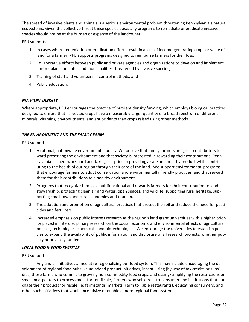The spread of invasive plants and animals is a serious environmental problem threatening Pennsylvania's natural ecosystems. Given the collective threat these species pose, any programs to remediate or eradicate invasive species should not be at the burden or expense of the landowner.

PFU supports:

- 1. In cases where remediation or eradication efforts result in a loss of income-generating crops or value of land for a farmer, PFU supports programs designed to reimburse farmers for their loss;
- 2. Collaborative efforts between public and private agencies and organizations to develop and implement control plans for states and municipalities threatened by invasive species;
- 3. Training of staff and volunteers in control methods; and
- 4. Public education.

## *NUTRIENT DENSITY*

Where appropriate, PFU encourages the practice of nutrient density farming, which employs biological practices designed to ensure that harvested crops have a measurably larger quantity of a broad spectrum of different minerals, vitamins, phytonutrients, and antioxidants than crops raised using other methods.

# *THE ENVIRONMENT AND THE FAMILY FARM*

PFU supports:

- 1. A rational, nationwide environmental policy. We believe that family farmers are great contributors toward preserving the environment and that society is interested in rewarding their contributions. Pennsylvania farmers work hard and take great pride in providing a safe and healthy product while contributing to the health of our region through their care of the land. We support environmental programs that encourage farmers to adopt conservation and environmentally friendly practices, and that reward them for their contributions to a healthy environment.
- 2. Programs that recognize farms as multifunctional and rewards farmers for their contribution to land stewardship, protecting clean air and water, open spaces, and wildlife, supporting rural heritage, supporting small town and rural economies and tourism.
- 3. The adoption and promotion of agricultural practices that protect the soil and reduce the need for pesticides and fertilizers.
- 4. Increased emphasis on public interest research at the region's land grant universities with a higher priority placed in interdisciplinary research on the social, economic and environmental effects of agricultural policies, technologies, chemicals, and biotechnologies. We encourage the universities to establish policies to expand the availability of public information and disclosure of all research projects, whether publicly or privately funded.

# *LOCAL FOOD & FOOD SYSTEMS*

## PFU supports:

Any and all initiatives aimed at re-regionalizing our food system. This may include encouraging the development of regional food hubs, value-added product initiatives, incentivizing (by way of tax credits or subsidies) those farms who commit to growing non-commodity food crops, and easing/simplifying the restrictions on small meatpackers to process meat for retail sale, farmers who sell direct-to-consumer and institutions that purchase their products for resale (ie: farmstands, markets, Farm to Table restaurants), educating consumers, and other such initiatives that would incentivize or enable a more regional food system.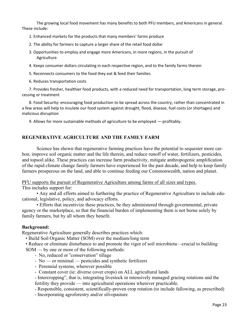The growing local food movement has many benefits to both PFU members, and Americans in general. These include:

- 1. Enhanced markets for the products that many members' farms produce
- 2. The ability for farmers to capture a larger share of the retail food dollar
- 3. Opportunities to employ and engage more Americans, in more regions, in the pursuit of Agriculture
- 4. Keeps consumer dollars circulating in each respective region, and to the family farms therein
- 5. Reconnects consumers to the food they eat & feed their families
- 6. Reduces transportation costs

 7. Provides fresher, healthier food products, with a reduced need for transportation, long term storage, processing or treatment

 8. Food Security: encouraging food production to be spread across the country, rather than concentrated in a few areas will help to insulate our food system against drought, flood, disease, fuel costs (or shortages) and malicious disruption

9. Allows for more sustainable methods of agriculture to be employed —-profitably.

# **REGENERATIVE AGRICULTURE AND THE FAMILY FARM**

Science has shown that regenerative farming practices have the potential to sequester more carbon, improve soil organic matter and the life therein, and reduce runoff of water, fertilizers, pesticides, and topsoil alike. These practices can increase farm productivity, mitigate anthropogenic amplification of the rapid climate change family farmers have experienced for the past decade, and help to keep family farmers prosperous on the land, and able to continue feeding our Commonwealth, nation and planet.

PFU supports the pursuit of Regenerative Agriculture among farms of all sizes and types. This includes support for:

• Any and all efforts aimed to furthering the practice of Regenerative Agriculture to include educational, legislative, policy, and advocacy efforts.

• Efforts that incentivize these practices, be they administered through governmental, private agency or the marketplace, so that the financial burden of implementing them is not borne solely by family farmers, but by all whom they benefit.

## **Background:**

Regenerative Agriculture generally describes practices which:

• Build Soil Organic Matter (SOM) over the medium/long term

• Reduce or eliminate disturbance to and promote the vigor of soil microbiota—crucial to building SOM — by one or more of the following methods:

- No, reduced or "conservation" tillage
- No or minimal pesticides and synthetic fertilizers
- Perennial systems, wherever possible
- Constant cover (ie: diverse cover crops) on ALL agricultural lands

- Intercropping", that is, integrating livestock in intensively managed grazing rotations and the fertility they provide — into agricultural operations wherever practicable.

- Responsible, consistent, scientifically-proven crop rotation (to include fallowing, as prescribed)
- Incorporating agroforestry and/or silvopasture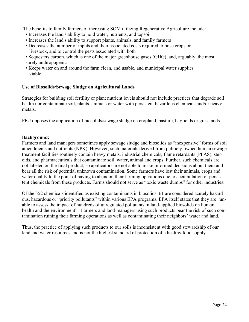The benefits to family farmers of increasing SOM utilizing Regenerative Agriculture include:

- Increases the land's ability to hold water, nutrients, and topsoil
- Increases the land's ability to support plants, animals, and family farmers
- Decreases the number of inputs and their associated costs required to raise crops or livestock, and to control the pests associated with both
- Sequesters carbon, which is one of the major greenhouse gases (GHG), and, arguably, the most surely anthropogenic
- Keeps water on and around the farm clean, and usable, and municipal water supplies viable

# **Use of Biosolids/Sewage Sludge on Agricultural Lands**

Strategies for building soil fertility or plant nutrient levels should not include practices that degrade soil health nor contaminate soil, plants, animals or water with persistent hazardous chemicals and/or heavy metals.

PFU opposes the application of biosolids/sewage sludge on cropland, pasture, hayfields or grasslands.

# **Background:**

Farmers and land managers sometimes apply sewage sludge and biosolids as "inexpensive" forms of soil amendments and nutrients (NPK). However, such materials derived from publicly-owned human sewage treatment facilities routinely contain heavy metals, industrial chemicals, flame retardants (PFAS), steroids, and pharmaceuticals that contaminate soil, water, animal and crops. Further, such chemicals are not labeled on the final product, so applicators are not able to make informed decisions about them and bear all the risk of potential unknown contamination. Some farmers have lost their animals, crops and water quality to the point of having to abandon their farming operations due to accumulation of persistent chemicals from these products. Farms should not serve as "toxic waste dumps" for other industries.

Of the 352 chemicals identified as existing contaminants in biosolids, 61 are considered acutely hazardous, hazardous or "priority pollutants" within various EPA programs. EPA itself states that they are "unable to assess the impact of hundreds of unregulated pollutants in land-applied biosolids on human health and the environment". Farmers and land-managers using such products bear the risk of such contamination ruining their farming operations as well as contaminating their neighbors' water and land.

Thus, the practice of applying such products to our soils is inconsistent with good stewardship of our land and water resources and is not the highest standard of protection of a healthy food supply.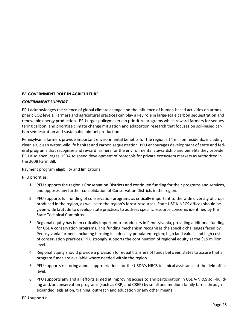# **IV. GOVERNMENT ROLE IN AGRICULTURE**

## *GOVERNMENT SUPPORT*

PFU acknowledges the science of global climate change and the influence of human-based activities on atmospheric CO2 levels. Farmers and agricultural practices can play a key role in large-scale carbon sequestration and renewable energy production. PFU urges policymakers to prioritize programs which reward farmers for sequestering carbon, and prioritize climate change mitigation and adaptation research that focuses on soil-based carbon sequestration and sustainable biofuel production.

Pennsylvania farmers provide important environmental benefits for the region's 14 million residents, including clean air, clean water, wildlife habitat and carbon sequestration. PFU encourages development of state and federal programs that recognize and reward farmers for the environmental stewardship and benefits they provide. PFU also encourages USDA to speed development of protocols for private ecosystem markets as authorized in the 2008 Farm Bill.

Payment program eligibility and limitations

PFU priorities:

- 1. PFU supports the region's Conservation Districts and continued funding for their programs and services, and opposes any further consolidation of Conservation Districts in the region.
- 2. PFU supports full funding of conservation programs as critically important to the wide diversity of crops produced in the region, as well as to the region's forest resources. State USDA-NRCS offices should be given wide latitude to develop state practices to address specific resource concerns identified by the State Technical Committee.
- 3. Regional equity has been critically important to producers in Pennsylvania, providing additional funding for USDA conservation programs. This funding mechanism recognizes the specific challenges faced by Pennsylvania farmers, including farming in a densely populated region, high land values and high costs of conservation practices. PFU strongly supports the continuation of regional equity at the \$15 million level.
- 4. Regional Equity should provide a provision for equal transfers of funds between states to assure that all program funds are available where needed within the region.
- 5. PFU supports restoring annual appropriations for the USDA's NRCS technical assistance at the field office level.
- 6. PFU supports any and all efforts aimed at improving access to and participation in USDA-NRCS soil-building and/or conservation programs (such as CRP, and CREP) by small and medium family farms through expanded legislation, training, outreach and education or any other means.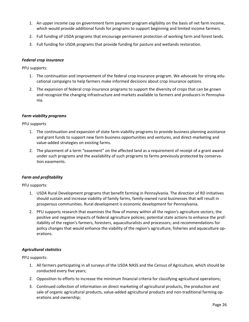- 1. An upper income cap on government farm payment program eligibility on the basis of net farm income, which would provide additional funds for programs to support beginning and limited income farmers.
- 2. Full funding of USDA programs that encourage permanent protection of working farm and forest lands.
- 3. Full funding for USDA programs that provide funding for pasture and wetlands restoration.

#### *Federal crop insurance*

PFU supports:

- 1. The continuation and improvement of the federal crop insurance program. We advocate for strong educational campaigns to help farmers make informed decisions about crop insurance options.
- 2. The expansion of federal crop insurance programs to support the diversity of crops that can be grown and recognize the changing infrastructure and markets available to farmers and producers in Pennsylvania.

#### *Farm viability programs*

#### PFU supports

- 1. The continuation and expansion of state farm viability programs to provide business planning assistance and grant funds to support new farm business opportunities and ventures, and direct-marketing and value-added strategies on existing farms.
- 2. The placement of a term "easement" on the affected land as a requirement of receipt of a grant award under such programs and the availability of such programs to farms previously protected by conservation easements.

## *Farm and profitability*

PFU supports:

- 1. USDA Rural Development programs that benefit farming in Pennsylvania. The direction of RD initiatives should sustain and increase viability of family farms, family-owned rural businesses that will result in prosperous communities. Rural development is economic development for Pennsylvania.
- 2. PFU supports research that examines the flow of money within all the region's agriculture sectors; the positive and negative impacts of federal agriculture policies; potential state actions to enhance the profitability of the region's farmers, foresters, aquaculturalists and processors; and recommendations for policy changes that would enhance the viability of the region's agriculture, fisheries and aquaculture operations.

## *Agricultural statistics*

- 1. All farmers participating in all surveys of the USDA NASS and the Census of Agriculture, which should be conducted every five years;
- 2. Opposition to efforts to increase the minimum financial criteria for classifying agricultural operations;
- 3. Continued collection of information on direct marketing of agricultural products, the production and sale of organic agricultural products, value-added agricultural products and non-traditional farming operations and ownership;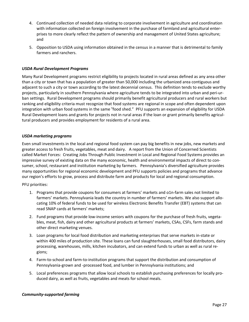- 4. Continued collection of needed data relating to corporate involvement in agriculture and coordination with information collected on foreign involvement in the purchase of farmland and agricultural enterprises to more clearly reflect the pattern of ownership and management of United States agriculture; and
- 5. Opposition to USDA using information obtained in the census in a manner that is detrimental to family farmers and ranchers.

## *USDA Rural Development Programs*

Many Rural Development programs restrict eligibility to projects located in rural areas defined as any area other than a city or town that has a population of greater than 50,000 including the urbanized area contiguous and adjacent to such a city or town according to the latest decennial census. This definition tends to exclude worthy projects, particularly in southern Pennsylvania where agriculture tends to be integrated into urban and peri-urban settings. Rural Development programs should primarily benefit agricultural producers and rural workers but ranking and eligibility criteria must recognize that food systems are regional in scope and often dependent upon integration with urban food systems in the same "food shed." PFU supports an expansion of eligibility for USDA Rural Development loans and grants for projects not in rural areas if the loan or grant primarily benefits agricultural producers and provides employment for residents of a rural area.

## *USDA marketing programs*

Even small investments in the local and regional food system can pay big benefits in new jobs, new markets and greater access to fresh fruits, vegetables, meat and dairy. A report from the Union of Concerned Scientists called Market Forces: Creating Jobs Through Public Investment in Local and Regional Food Systems provides an impressive survey of existing data on the many economic, health and environmental impacts of direct to consumer, school, restaurant and institution marketing by farmers. Pennsylvania's diversified agriculture provides many opportunities for regional economic development and PFU supports policies and programs that advance our region's efforts to grow, process and distribute farm and products for local and regional consumption.

PFU priorities:

- 1. Programs that provide coupons for consumers at farmers' markets and o1n-farm sales not limited to farmers' markets. Pennsylvania leads the country in number of farmers' markets. We also support allocating 10% of federal funds to be used for wireless Electronic Benefits Transfer (EBT) systems that can read SNAP cards at farmers' markets;
- 2. Fund programs that provide low-income seniors with coupons for the purchase of fresh fruits, vegetables, meat, fish, dairy and other agricultural products at farmers' markets, CSAs, CSFs, farm stands and other direct marketing venues.
- 3. Loan programs for local food distribution and marketing enterprises that serve markets in-state or within 400 miles of production site. These loans can fund slaughterhouses, small food distributors, dairy processing, warehouses, mills, kitchen incubators, and can extend funds to urban as well as rural regions;
- 4. Farm-to-school and farm-to-institution programs that support the distribution and consumption of Pennsylvania-grown and -processed food, and lumber in Pennsylvania institutions; and
- 5. Local preferences programs that allow local schools to establish purchasing preferences for locally produced dairy, as well as fruits, vegetables and meats for school meals.

## *Community-supported farming*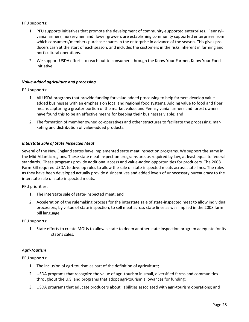## PFU supports:

- 1. PFU supports initiatives that promote the development of community-supported enterprises. Pennsylvania farmers, nurserymen and flower growers are establishing community supported enterprises from which consumers/members purchase shares in the enterprise in advance of the season. This gives producers cash at the start of each season, and includes the customers in the risks inherent in farming and horticultural operations.
- 2. We support USDA efforts to reach out to consumers through the Know Your Farmer, Know Your Food initiative.

# *Value-added agriculture and processing*

PFU supports:

- 1. All USDA programs that provide funding for value-added processing to help farmers develop valueadded businesses with an emphasis on local and regional food systems. Adding value to food and fiber means capturing a greater portion of the market value, and Pennsylvania farmers and forest owners have found this to be an effective means for keeping their businesses viable; and
- 2. The formation of member owned co-operatives and other structures to facilitate the processing, marketing and distribution of value-added products.

## *Interstate Sale of State Inspected Meat*

Several of the New England states have implemented state meat inspection programs. We support the same in the Mid-Atlantic regions. These state meat inspection programs are, as required by law, at least equal to federal standards. These programs provide additional access and value-added opportunities for producers. The 2008 Farm Bill required USDA to develop rules to allow the sale of state-inspected meats across state lines. The rules as they have been developed actually provide disincentives and added levels of unnecessary bureaucracy to the interstate sale of state-inspected meats.

PFU priorities:

- 1. The interstate sale of state-inspected meat; and
- 2. Acceleration of the rulemaking process for the interstate sale of state-inspected meat to allow individual processors, by virtue of state inspection, to sell meat across state lines as was implied in the 2008 farm bill language.

PFU supports:

1. State efforts to create MOUs to allow a state to deem another state inspection program adequate for its state's sales.

## *Agri-Tourism*

- 1. The inclusion of agri-tourism as part of the definition of agriculture;
- 2. USDA programs that recognize the value of agri-tourism in small, diversified farms and communities throughout the U.S. and programs that adopt agri-tourism allowances for funding;
- 3. USDA programs that educate producers about liabilities associated with agri-tourism operations; and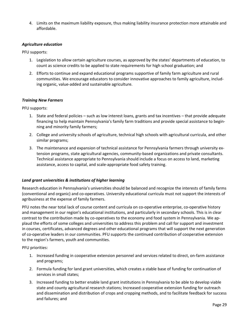4. Limits on the maximum liability exposure, thus making liability insurance protection more attainable and affordable.

## *Agriculture education*

PFU supports:

- 1. Legislation to allow certain agriculture courses, as approved by the states' departments of education, to count as science credits to be applied to state requirements for high school graduation; and
- 2. Efforts to continue and expand educational programs supportive of family farm agriculture and rural communities. We encourage educators to consider innovative approaches to family agriculture, including organic, value-added and sustainable agriculture.

#### *Training New Farmers*

PFU supports:

- 1. State and federal policies such as low interest loans, grants and tax incentives that provide adequate financing to help maintain Pennsylvania's family farm traditions and provide special assistance to beginning and minority family farmers;
- 2. College and university schools of agriculture, technical high schools with agricultural curricula, and other similar programs;
- 3. The maintenance and expansion of technical assistance for Pennsylvania farmers through university extension programs, state agricultural agencies, community-based organizations and private consultants. Technical assistance appropriate to Pennsylvania should include a focus on access to land, marketing assistance, access to capital, and scale-appropriate food safety training.

## *Land grant universities & institutions of higher learning*

Research education in Pennsylvania's universities should be balanced and recognize the interests of family farms (conventional and organic) and co-operatives. University educational curricula must not support the interests of agribusiness at the expense of family farmers.

PFU notes the near total lack of course content and curricula on co-operative enterprise, co-operative history and management in our region's educational institutions, and particularly in secondary schools. This is in clear contrast to the contribution made by co-operatives to the economy and food system in Pennsylvania. We applaud the efforts of some colleges and universities to address this problem and call for support and investment in courses, certificates, advanced degrees and other educational programs that will support the next generation of co-operative leaders in our communities. PFU supports the continued contribution of cooperative extension to the region's farmers, youth and communities.

PFU priorities:

- 1. Increased funding in cooperative extension personnel and services related to direct, on-farm assistance and programs;
- 2. Formula funding for land grant universities, which creates a stable base of funding for continuation of services in small states;
- 3. Increased funding to better enable land grant institutions in Pennsylvania to be able to develop viable state and county agricultural research stations; Increased cooperative extension funding for outreach and dissemination and distribution of crops and cropping methods, and to facilitate feedback for success and failures; and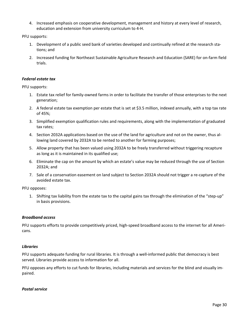4. Increased emphasis on cooperative development, management and history at every level of research, education and extension from university curriculum to 4-H.

PFU supports:

- 1. Development of a public seed bank of varieties developed and continually refined at the research stations; and
- 2. Increased funding for Northeast Sustainable Agriculture Research and Education (SARE) for on-farm field trials.

#### *Federal estate tax*

PFU supports:

- 1. Estate tax relief for family-owned farms in order to facilitate the transfer of those enterprises to the next generation;
- 2. A federal estate tax exemption per estate that is set at \$3.5 million, indexed annually, with a top tax rate of 45%;
- 3. Simplified exemption qualification rules and requirements, along with the implementation of graduated tax rates;
- 4. Section 2032A applications based on the use of the land for agriculture and not on the owner, thus allowing land covered by 2032A to be rented to another for farming purposes;
- 5. Allow property that has been valued using 2032A to be freely transferred without triggering recapture as long as it is maintained in its qualified use;
- 6. Eliminate the cap on the amount by which an estate's value may be reduced through the use of Section 2032A; and
- 7. Sale of a conservation easement on land subject to Section 2032A should not trigger a re-capture of the avoided estate tax.

PFU opposes:

1. Shifting tax liability from the estate tax to the capital gains tax through the elimination of the "step-up" in basis provisions.

## *Broadband access*

PFU supports efforts to provide competitively priced, high-speed broadband access to the internet for all Americans.

## *Libraries*

PFU supports adequate funding for rural libraries. It is through a well-informed public that democracy is best served. Libraries provide access to information for all.

PFU opposes any efforts to cut funds for libraries, including materials and services for the blind and visually impaired.

## *Postal service*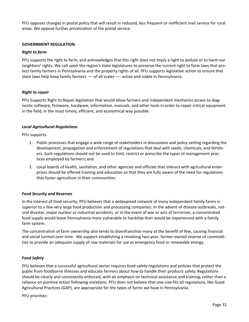PFU opposes changes in postal policy that will result in reduced, less frequent or inefficient mail service for rural areas. We oppose further privatization of the postal service.

## **GOVERNMENT REGULATION**

## *Right to farm*

PFU supports the right to farm, and acknowledges that this right does not imply a right to pollute or to harm our neighbors' rights. We call upon the region's state legislatures to preserve the current right to farm laws that protect family farmers in Pennsylvania and the property rights of all. PFU supports legislative action to ensure that state laws help keep family farmers —- of all scales —- active and viable in Pennsylvania.

# *Right to repair*

PFU Supports Right to Repair legislation that would allow farmers and independent mechanics access to diagnostic software, firmware, hardware, information, manuals, and other tools in order to repair critical equipment in the field, in the most timely, efficient, and economical way possible.

## *Local Agricultural Regulations*

PFU supports:

- 1. Public processes that engage a wide range of stakeholders in discussions and policy setting regarding the development, propagation and enforcement of regulations that deal with seeds, chemicals, and fertilizers. Such regulations should not be used to limit, restrict or prescribe the types of management practices employed by farmers; and
- 2. Local boards of health, sanitation, and other agencies and officials that interact with agricultural enterprises should be offered training and education so that they are fully aware of the need for regulations that foster agriculture in their communities.

# *Food Security and Reserves*

In the interest of food security, PFU believes that a widespread network of many independent family farms is superior to a few very large food production and processing companies. In the advent of disease outbreaks, natural disaster, major nuclear or industrial accidents, or in the event of war or acts of terrorism, a concentrated food supply would leave Pennsylvania more vulnerable to hardship than would be experienced with a family farm system.

The concentration of farm ownership also tends to disenfranchise many at the benefit of few, causing financial and social turmoil over time. We support establishing a revolving two-year, farmer-owned reserve of commodities to provide an adequate supply of raw materials for use as emergency food or renewable energy.

# *Food Safety*

PFU believes that a successful agricultural sector requires food safety regulations and policies that protect the public from foodborne illnesses and educate farmers about how to handle their products safely. Regulations should be clearly and consistently enforced, with an emphasis on technical assistance and training, rather than a reliance on punitive action following violations. PFU does not believe that one-size-fits all regulations, like Good Agricultural Practices (GAP), are appropriate for the types of farms we have in Pennsylvania.

PFU priorities: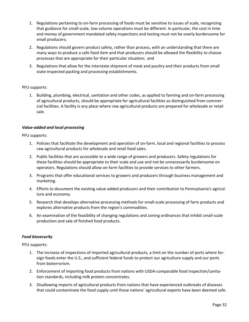- 1. Regulations pertaining to on-farm processing of foods must be sensitive to issues of scale, recognizing that guidance for small-scale, low-volume operations must be different. In particular, the cost in time and money of government mandated safety inspections and testing must not be overly burdensome for small producers;
- 2. Regulations should govern product safety, rather than process, with an understanding that there are many ways to produce a safe food item and that producers should be allowed the flexibility to choose processes that are appropriate for their particular situation; and
- 3. Regulations that allow for the interstate shipment of meat and poultry and their products from small state-inspected packing and processing establishments.

# PFU supports:

1. Building, plumbing, electrical, sanitation and other codes, as applied to farming and on-farm processing of agricultural products, should be appropriate for agricultural facilities as distinguished from commercial facilities. A facility is any place where raw agricultural products are prepared for wholesale or retail sale.

# *Value-added and local processing*

PFU supports:

- 1. Policies that facilitate the development and operation of on-farm, local and regional facilities to process raw agricultural products for wholesale and retail food sales.
- 2. Public facilities that are accessible to a wide range of growers and producers. Safety regulations for these facilities should be appropriate to their scale and use and not be unnecessarily burdensome on operators. Regulations should allow on-farm facilities to provide services to other farmers.
- 3. Programs that offer educational services to growers and producers through business management and marketing.
- 4. Efforts to document the existing value-added producers and their contribution to Pennsylvania's agriculture and economy.
- 5. Research that develops alternative processing methods for small-scale processing of farm products and explores alternative products from the region's commodities.
- 6. An examination of the feasibility of changing regulations and zoning ordinances that inhibit small-scale production and sale of finished food products.

## *Food biosecurity*

- 1. The increase of inspections of imported agricultural products, a limit on the number of ports where foreign foods enter the U.S., and sufficient federal funds to protect our agriculture supply and our ports from bioterrorism.
- 2. Enforcement of importing food products from nations with USDA-comparable food inspection/sanitation standards, including milk protein concentrates.
- 3. Disallowing imports of agricultural products from nations that have experienced outbreaks of diseases that could contaminate the food supply until those nations' agricultural exports have been deemed safe.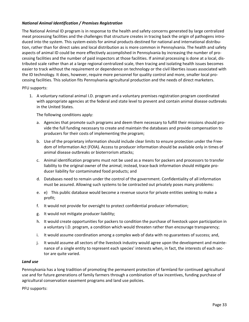# *National Animal Identification / Premises Registration*

The National Animal ID program is in response to the health and safety concerns generated by large centralized meat processing facilities and the challenges that structure creates in tracing back the origin of pathogens introduced into the system. This system exists for animal products destined for national and international distribution, rather than for direct sales and local distribution as is more common in Pennsylvania. The health and safety aspects of animal ID could be more effectively accomplished in Pennsylvania by increasing the number of processing facilities and the number of paid inspectors at those facilities. If animal processing is done at a local, distributed scale rather than at a large regional centralized scale, then tracing and isolating health issues becomes easier to track without the requirement or dependence on technology or the civil liberties issues associated with the ID technology. It does, however, require more personnel for quality control and more, smaller local processing facilities. This solution fits Pennsylvania agricultural production and the needs of direct marketers.

PFU supports:

1. A voluntary national animal I.D. program and a voluntary premises registration program coordinated with appropriate agencies at the federal and state level to prevent and contain animal disease outbreaks in the United States.

The following conditions apply:

- a. Agencies that promote such programs and deem them necessary to fulfill their missions should provide the full funding necessary to create and maintain the databases and provide compensation to producers for their costs of implementing the program;
- b. Use of the proprietary information should include clear limits to ensure protection under the Freedom of Information Act (FOIA). Access to producer information should be available only in times of animal disease outbreaks or bioterrorism attacks;
- c. Animal identification programs must not be used as a means for packers and processors to transfer liability to the original owner of the animal; instead, trace-back information should mitigate producer liability for contaminated food products; and
- d. Databases need to remain under the control of the government. Confidentiality of all information must be assured. Allowing such systems to be contracted out privately poses many problems:
- e. e) This public database would become a revenue source for private entities seeking to make a profit;
- f. It would not provide for oversight to protect confidential producer information;
- g. It would not mitigate producer liability;
- h. It would create opportunities for packers to condition the purchase of livestock upon participation in a voluntary I.D. program, a condition which would threaten rather than encourage transparency;
- i. It would assume coordination among a complex web of data with no guarantees of success; and,
- j. It would assume all sectors of the livestock industry would agree upon the development and maintenance of a single entity to represent each species' interests when, in fact, the interests of each sector are quite varied.

#### *Land use*

Pennsylvania has a long tradition of promoting the permanent protection of farmland for continued agricultural use and for future generations of family farmers through a combination of tax incentives, funding purchase of agricultural conservation easement programs and land use policies.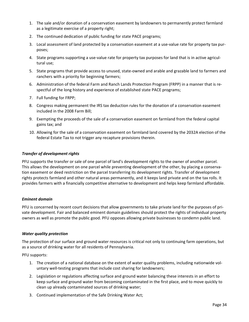- 1. The sale and/or donation of a conservation easement by landowners to permanently protect farmland as a legitimate exercise of a property right;
- 2. The continued dedication of public funding for state PACE programs;
- 3. Local assessment of land protected by a conservation easement at a use-value rate for property tax purposes;
- 4. State programs supporting a use-value rate for property tax purposes for land that is in active agricultural use;
- 5. State programs that provide access to unused, state-owned and arable and grazable land to farmers and ranchers with a priority for beginning farmers;
- 6. Administration of the federal Farm and Ranch Lands Protection Program (FRPP) in a manner that is respectful of the long history and experience of established state PACE programs;
- 7. Full funding for FRPP;
- 8. Congress making permanent the IRS tax deduction rules for the donation of a conservation easement included in the 2008 Farm Bill;
- 9. Exempting the proceeds of the sale of a conservation easement on farmland from the federal capital gains tax; and
- 10. Allowing for the sale of a conservation easement on farmland land covered by the 2032A election of the federal Estate Tax to not trigger any recapture provisions therein.

## *Transfer of development rights*

PFU supports the transfer or sale of one parcel of land's development rights to the owner of another parcel. This allows the development on one parcel while preventing development of the other, by placing a conservation easement or deed restriction on the parcel transferring its development rights. Transfer of development rights protects farmland and other natural areas permanently, and it keeps land private and on the tax rolls. It provides farmers with a financially competitive alternative to development and helps keep farmland affordable.

## *Eminent domain*

PFU is concerned by recent court decisions that allow governments to take private land for the purposes of private development. Fair and balanced eminent domain guidelines should protect the rights of individual property owners as well as promote the public good. PFU opposes allowing private businesses to condemn public land.

## *Water quality protection*

The protection of our surface and ground water resources is critical not only to continuing farm operations, but as a source of drinking water for all residents of Pennsylvania.

- 1. The creation of a national database on the extent of water quality problems, including nationwide voluntary well-testing programs that include cost sharing for landowners;
- 2. Legislation or regulations affecting surface and ground water balancing these interests in an effort to keep surface and ground water from becoming contaminated in the first place, and to move quickly to clean up already contaminated sources of drinking water;
- 3. Continued implementation of the Safe Drinking Water Act;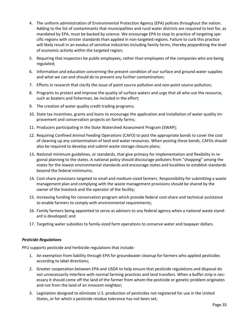- 4. The uniform administration of Environmental Protection Agency (EPA) policies throughout the nation. Adding to the list of contaminants that municipalities and rural water districts are required to test for, as mandated by EPA, must be backed by science. We encourage EPA to stop its practice of targeting specific regions with stricter standards than applied in non-targeted regions. Failure to curb this practice will likely result in an exodus of sensitive industries including family farms, thereby jeopardizing the level of economic activity within the targeted region;
- 5. Requiring that inspectors be public employees, rather than employees of the companies who are being regulated;
- 6. Information and education concerning the present condition of our surface and ground water supplies and what we can and should do to prevent any further contamination;
- 7. Efforts in research that clarify the issue of point source pollution and non-point source pollution;
- 8. Programs to protect and improve the quality of surface waters and urge that all who use the resource, such as boaters and fisherman, be included in the effort;
- 9. The creation of water quality credit trading programs;
- 10. State tax incentives, grants and loans to encourage the application and installation of water quality improvement and conservation projects on family farms;
- 11. Producers participating in the State Watershed Assessment Program (SWAP);
- 12. Requiring Confined Animal Feeding Operations (CAFO) to post the appropriate bonds to cover the cost of cleaning up any contamination of land and water resources. When posting these bonds, CAFOs should also be required to develop and submit waste storage closure plans;
- 13. National minimum guidelines, or standards, that give primacy for implementation and flexibility in regional planning to the states. A national policy should discourage polluters from "shopping" among the states for the lowest environmental standards and encourage states and localities to establish standards beyond the federal minimums;
- 14. Cost-share provisions targeted to small and medium-sized farmers. Responsibility for submitting a waste management plan and complying with the waste management provisions should be shared by the owner of the livestock and the operator of the facility;
- 15. Increasing funding for conservation program which provide federal cost-share and technical assistance to enable farmers to comply with environmental requirements;
- 16. Family farmers being appointed to serve as advisers to any federal agency when a national waste standard is developed; and
- 17. Targeting water subsidies to family-sized farm operations to conserve water and taxpayer dollars.

## *Pesticide Regulations*

PFU supports pesticide and herbicide regulations that include:

- 1. An exemption from liability through EPA for groundwater cleanup for farmers who applied pesticides according to label directions;
- 2. Greater cooperation between EPA and USDA to help ensure that pesticide regulations and disposal do not unnecessarily interfere with normal farming practices and land transfers. When a buffer strip is necessary it should come off the land of the farmer from whom the pesticide or genetic problem originates and not from the land of an innocent neighbor;
- 3. Legislation designed to eliminate U.S. production of pesticides not registered for use in the United States, or for which a pesticide residue tolerance has not been set;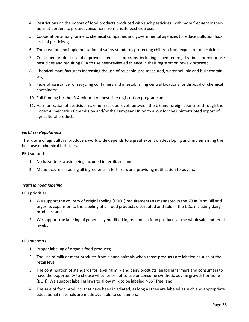- 4. Restrictions on the import of food products produced with such pesticides, with more frequent inspections at borders to protect consumers from unsafe pesticide use;
- 5. Cooperation among farmers, chemical companies and governmental agencies to reduce pollution hazards of pesticides;
- 6. The creation and implementation of safety standards protecting children from exposure to pesticides;
- 7. Continued prudent use of approved chemicals for crops, including expedited registrations for minor use pesticides and requiring EPA to use peer-reviewed science in their registration review process;
- 8. Chemical manufacturers increasing the use of reusable, pre-measured, water-soluble and bulk containers;
- 9. Federal assistance for recycling containers and in establishing central locations for disposal of chemical containers;
- 10. Full funding for the IR-4 minor crop pesticide registration program; and
- 11. Harmonization of pesticide maximum residue levels between the US and foreign countries through the Codex Alimentarius Commission and/or the European Union to allow for the uninterrupted export of agricultural products.

#### *Fertilizer Regulations*

The future of agricultural producers worldwide depends to a great extent on developing and implementing the best use of chemical fertilizers.

PFU supports:

- 1. No hazardous waste being included in fertilizers; and
- 2. Manufacturers labeling all ingredients in fertilizers and providing notification to buyers.

#### *Truth in Food labeling*

PFU priorities:

- 1. We support the country of origin labeling (COOL) requirements as mandated in the 2008 Farm Bill and urges its expansion to the labeling of all food products distributed and sold in the U.S., including dairy products; and
- 2. We support the labeling of genetically modified ingredients in food products at the wholesale and retail levels.

- 1. Proper labeling of organic food products;
- 2. The use of milk or meat products from cloned animals when those products are labeled as such at the retail level;
- 3. The continuation of standards for labeling milk and dairy products, enabling farmers and consumers to have the opportunity to choose whether or not to use or consume synthetic bovine growth hormone (BGH). We support labeling laws to allow milk to be labeled r-BST free; and
- 4. The sale of food products that have been irradiated, as long as they are labeled as such and appropriate educational materials are made available to consumers.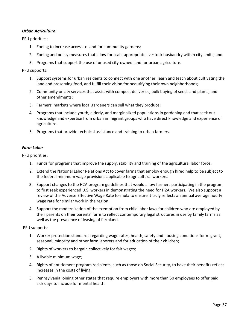# *Urban Agriculture*

PFU priorities:

- 1. Zoning to increase access to land for community gardens;
- 2. Zoning and policy measures that allow for scale-appropriate livestock husbandry within city limits; and
- 3. Programs that support the use of unused city-owned land for urban agriculture.

## PFU supports:

- 1. Support systems for urban residents to connect with one another, learn and teach about cultivating the land and preserving food, and fulfill their vision for beautifying their own neighborhoods;
- 2. Community or city services that assist with compost deliveries, bulk buying of seeds and plants, and other amendments;
- 3. Farmers' markets where local gardeners can sell what they produce;
- 4. Programs that include youth, elderly, and marginalized populations in gardening and that seek out knowledge and expertise from urban immigrant groups who have direct knowledge and experience of agriculture.
- 5. Programs that provide technical assistance and training to urban farmers.

# *Farm Labor*

PFU priorities:

- 1. Funds for programs that improve the supply, stability and training of the agricultural labor force.
- 2. Extend the National Labor Relations Act to cover farms that employ enough hired help to be subject to the federal minimum wage provisions applicable to agricultural workers.
- 3. Support changes to the H2A program guidelines that would allow farmers participating in the program to first seek experienced U.S. workers in demonstrating the need for H2A workers. We also support a review of the Adverse Effective Wage Rate formula to ensure it truly reflects an annual average hourly wage rate for similar work in the region.
- 4. Support the modernization of the exemption from child labor laws for children who are employed by their parents on their parents' farm to reflect contemporary legal structures in use by family farms as well as the prevalence of leasing of farmland.

- 1. Worker protection standards regarding wage rates, health, safety and housing conditions for migrant, seasonal, minority and other farm laborers and for education of their children;
- 2. Rights of workers to bargain collectively for fair wages;
- 3. A livable minimum wage;
- 4. Rights of entitlement program recipients, such as those on Social Security, to have their benefits reflect increases in the costs of living.
- 5. Pennsylvania joining other states that require employers with more than 50 employees to offer paid sick days to include for mental health.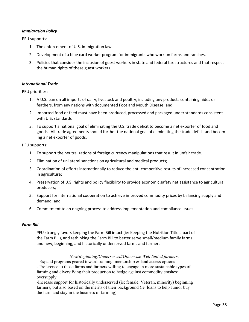## *Immigration Policy*

PFU supports:

- 1. The enforcement of U.S. immigration law.
- 2. Development of a blue card worker program for immigrants who work on farms and ranches.
- 3. Policies that consider the inclusion of guest workers in state and federal tax structures and that respect the human rights of these guest workers.

#### *International Trade*

PFU priorities:

- 1. A U.S. ban on all imports of dairy, livestock and poultry, including any products containing hides or feathers, from any nations with documented Foot and Mouth Disease; and
- 2. Imported food or feed must have been produced, processed and packaged under standards consistent with U.S. standards
- 3. To support a national goal of eliminating the U.S. trade deficit to become a net exporter of food and goods. All trade agreements should further the national goal of eliminating the trade deficit and becoming a net exporter of goods.

PFU supports:

- 1. To support the neutralizations of foreign currency manipulations that result in unfair trade.
- 2. Elimination of unilateral sanctions on agricultural and medical products;
- 3. Coordination of efforts internationally to reduce the anti-competitive results of increased concentration in agriculture;
- 4. Preservation of U.S. rights and policy flexibility to provide economic safety net assistance to agricultural producers;
- 5. Support for international cooperation to achieve improved commodity prices by balancing supply and demand; and
- 6. Commitment to an ongoing process to address implementation and compliance issues.

#### *Farm Bill*

PFU strongly favors keeping the Farm Bill intact (ie: Keeping the Nutrition Title a part of the Farm Bill), and rethinking the Farm Bill to better serve small/medium family farms and new, beginning, and historically underserved farms and farmers

## *New/Beginning/Underserved/Otherwise Well Suited farmers:*

- Expand programs geared toward training, mentorship & land access options

- Preference to those farms and farmers willing to engage in more sustainable types of farming and diversifying their production to hedge against commodity crashes/ oversupply

-Increase support for historically underserved (ie: female, Veteran, minority) beginning farmers, but also based on the merits of their background (ie: loans to help Junior buy the farm and stay in the business of farming)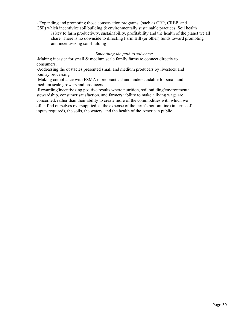- Expanding and promoting those conservation programs, (such as CRP, CREP, and

 $CSP$ ) which incentivize soil building  $&$  environmentally sustainable practices. Soil health is key to farm productivity, sustainability, profitability and the health of the planet we all share. There is no downside to directing Farm Bill (or other) funds toward promoting and incentivizing soil-building

#### *Smoothing the path to solvency:*

-Making it easier for small & medium scale family farms to connect directly to consumers.

-Addressing the obstacles presented small and medium producers by livestock and poultry processing

-Making compliance with FSMA more practical and understandable for small and medium scale growers and producers.

-Rewarding/incentivizing positive results where nutrition, soil building/environmental stewardship, consumer satisfaction, and farmers 'ability to make a living wage are concerned, rather than their ability to create more of the commodities with which we often find ourselves oversupplied, at the expense of the farm's bottom line (in terms of inputs required), the soils, the waters, and the health of the American public.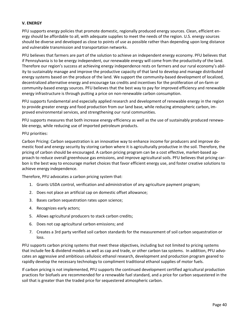# **V. ENERGY**

PFU supports energy policies that promote domestic, regionally produced energy sources. Clean, efficient energy should be affordable to all, with adequate supplies to meet the needs of the region. U.S. energy sources should be diverse and developed as close to points of use as possible rather than depending upon long distance and vulnerable transmission and transportation networks.

PFU believes that farmers are part of the solution to achieve an independent energy economy. PFU believes that if Pennsylvania is to be energy independent, our renewable energy will come from the productivity of the land. Therefore our region's success at achieving energy independence rests on farmers and our rural economy's ability to sustainably manage and improve the productive capacity of that land to develop and manage distributed energy systems based on the produce of the land. We support the community-based development of localized, decentralized alternative energy and encourage tax credits and incentives for the proliferation of on-farm or community-based energy sources. PFU believes that the best way to pay for improved efficiency and renewable energy infrastructure is through putting a price on non-renewable carbon consumption.

PFU supports fundamental and especially applied research and development of renewable energy in the region to provide greater energy and food production from our land base, while reducing atmospheric carbon, improved environmental services, and strengthening our rural communities.

PFU supports measures that both increase energy efficiency as well as the use of sustainably produced renewable energy, while reducing use of imported petroleum products.

#### PFU priorities:

Carbon Pricing: Carbon sequestration is an innovative way to enhance income for producers and improve domestic food and energy security by storing carbon where it is agriculturally productive in the soil. Therefore, the pricing of carbon should be encouraged. A carbon pricing program can be a cost effective, market-based approach to reduce overall greenhouse gas emissions, and improve agricultural soils. PFU believes that pricing carbon is the best way to encourage market choices that favor efficient energy use, and foster creative solutions to achieve energy independence.

Therefore, PFU advocates a carbon pricing system that:

- 1. Grants USDA control, verification and administration of any agriculture payment program;
- 2. Does not place an artificial cap on domestic offset allowance;
- 3. Bases carbon sequestration rates upon science;
- 4. Recognizes early actors;
- 5. Allows agricultural producers to stack carbon credits;
- 6. Does not cap agricultural carbon emissions; and
- 7. Creates a 3rd party verified soil carbon standards for the measurement of soil carbon sequestration or loss.

PFU supports carbon pricing systems that meet these objectives, including but not limited to pricing systems that include fee & dividend models as well as cap and trade, or other carbon tax systems. In addition, PFU advocates an aggressive and ambitious cellulosic ethanol research, development and production program geared to rapidly develop the necessary technology to compliment traditional ethanol supplies of motor fuels.

If carbon pricing is not implemented, PFU supports the continued development certified agricultural production practices for biofuels are recommended for a renewable fuel standard, and a price for carbon sequestered in the soil that is greater than the traded price for sequestered atmospheric carbon.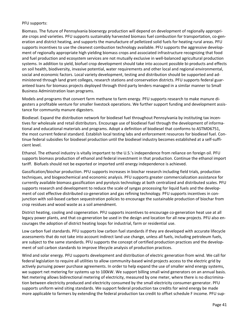## PFU supports:

Biomass. The future of Pennsylvania bioenergy production will depend on development of regionally appropriate crops and varieties. PFU supports sustainably harvested biomass fuel combustion for transportation, co-generation and district heating, and supports the manufacture of pelletized solid fuels for heating rural areas. PFU supports incentives to use the cleanest combustion technology available. PFU supports the aggressive development of regionally appropriate high yielding biomass crops and associated infrastructure recognizing that food and fuel production and ecosystem services are not mutually exclusive in well-balanced agricultural production systems. In addition to yield, biofuel crop development should take into account possible bi-products and effects on soil health, biodiversity, invasive potential, water requirements and other local and regional environmental, social and economic factors. Local variety development, testing and distribution should be supported and administered through land grant colleges, research stations and conservation districts. PFU supports federal guaranteed loans for biomass projects deployed through third party lenders managed in a similar manner to Small Business Administration loan programs.

Models and programs that convert farm methane to farm energy. PFU supports research to make manure digesters a profitable venture for smaller livestock operations. We further support funding and development assistance for community manure digesters.

Biodiesel. Expand the distribution network for biodiesel fuel throughout Pennsylvania by instituting tax incentives for wholesale and retail distributors. Encourage use of biodiesel fuel through the development of informational and educational materials and programs. Adopt a definition of biodiesel that conforms to ASTMD6751, the most current federal standard. Establish local testing labs and enforcement resources for biodiesel fuel. Continue federal subsidies for biodiesel production until the biodiesel industry becomes established at a self-sufficient level.

Ethanol. The ethanol industry is vitally important to the U.S.'s independence from reliance on foreign oil. PFU supports biomass production of ethanol and federal investment in that production. Continue the ethanol import tariff. Biofuels should not be exported or imported until energy independence is achieved.

Gassification/biochar production. PFU supports increases in biochar research including field trials, production techniques, and biogeochemical and economic analysis. PFU supports greater commercialization assistance for currently available biomass gassification and pyrolysis technology at both centralized and distributed scales. PFU supports research and development to reduce the scale of syngas processing for liquid fuels and the development of cost effective distributed co-generation and gas refining technology. PFU supports incentives in conjunction with soil-based carbon sequestration policies to encourage the sustainable production of biochar from crop residues and wood waste as a soil amendment.

District heating, cooling and cogeneration. PFU supports incentives to encourage co-generation heat use at all legacy power plants, and that co-generation be used in the design and location for all new projects. PFU also encourages the adoption of district heating loops for industrial, farm or residential use.

Low carbon fuel standards. PFU supports low carbon fuel standards if they are developed with accurate lifecycle assessments that do not take into account indirect land use change, unless all fuels, including petroleum fuels, are subject to the same standards. PFU supports the concept of certified production practices and the development of soil carbon standards to improve lifecycle analysis of production practices.

Wind and solar energy. PFU supports development and distribution of electric generation from wind. We call for federal legislation to require all utilities to allow community-based wind projects access to the electric grid by actively pursuing power purchase agreements. In order to help expand the use of smaller wind energy systems, we support net metering for systems up to 100kW. We support billing small wind generators on an annual basis. Net metering allows bidirectional metering of electricity, measured by one meter, where there is no discrimination between electricity produced and electricity consumed by the small electricity consumer-generator. PFU supports uniform wind siting standards. We support federal production tax credits for wind energy be made more applicable to farmers by extending the federal production tax credit to offset schedule F income. PFU sup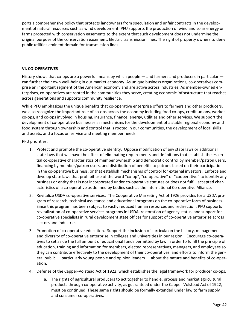ports a comprehensive policy that protects landowners from speculation and unfair contracts in the development of natural resources such as wind development. PFU supports the production of wind and solar energy on farms protected with conservation easements to the extent that such development does not undermine the original purpose of the conservation easement. Electric transmission lines: The right of property owners to deny public utilities eminent domain for transmission lines.

## **VI. CO-OPERATIVES**

History shows that co-ops are a powerful means by which people — and farmers and producers in particular can further their own well-being in our market economy. As unique business organizations, co-operatives comprise an important segment of the American economy and are active across industries. As member-owned enterprises, co-operatives are rooted in the communities they serve, creating economic infrastructure that reaches across generations and supports community resilience.

While PFU emphasizes the unique benefits that co-operative enterprise offers to farmers and other producers, we also recognize the important role of co-ops across the economy including food co-ops, credit unions, worker co-ops, and co-ops involved in housing, insurance, finance, energy, utilities and other services. We support the development of co-operative businesses as mechanisms for the development of a stable regional economy and food system through ownership and control that is rooted in our communities, the development of local skills and assets, and a focus on service and meeting member needs.

PFU priorities:

- 1. Protect and promote the co-operative identity. Oppose modification of any state laws or additional state laws that will have the effect of eliminating requirements and definitions that establish the essential co-operative characteristics of member ownership and democratic control by member/patron users, financing by member/patron users, and distribution of benefits to patrons based on their participation in the co-operative business, or that establish mechanisms of control for external investors. Enforce and develop state laws that prohibit use of the word "co-op", "co-operative" or "cooperative" to identify any business or entity that is not incorporated under co-operative statutes or does not fulfill accepted characteristics of a co-operative as defined by bodies such as the International Co-operative Alliance.
- 2. Revitalize USDA co-operative services. The Cooperative Marketing Act of 1926 provides for a USDA program of research, technical assistance and educational programs on the co-operative form of business. Since this program has been subject to vastly reduced human resources and redirection, PFU supports revitalization of co-operative services programs in USDA, restoration of agency status, and support for co-operative specialists in rural development state offices for support of co-operative enterprise across sectors and industries.
- 3. Promotion of co-operative education. Support the inclusion of curricula on the history, management and diversity of co-operative enterprise in colleges and universities in our region. Encourage co-operatives to set aside the full amount of educational funds permitted by law in order to fulfill the principle of education, training and information for members, elected representatives, managers, and employees so they can contribute effectively to the development of their co-operatives, and efforts to inform the general public — particularly young people and opinion leaders — about the nature and benefits of co-operation.
- 4. Defense of the Capper-Volstead Act of 1922, which establishes the legal framework for producer co-ops.
	- a. The rights of agricultural producers to act together to handle, process and market agricultural products through co-operative activity, as guaranteed under the Capper-Volstead Act of 1922, must be continued. These same rights should be formally extended under law to farm supply and consumer co-operatives.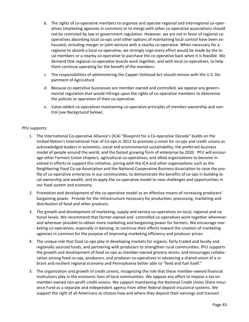- b. The rights of co-operative members to organize and operate regional and interregional co-operatives (marketing agencies in common) or to merge with other co-operative associations should not be restricted by law or government regulation. However, we are not in favor of regional cooperatives absorbing local co-ops until other options of maintaining local control have been exhausted, including merger or joint venture with a nearby co-operative. When necessary for a regional to absorb a local co-operative, we strongly urge every effort would be made by the local members or a nearby co-operative to purchase the co-operative back when it is feasible. We demand that regional co-operative boards work together, and with local co-operatives, to help them continue operating for the benefit of the members.
- c. The responsibilities of administering the Capper-Volstead Act should remain with the U.S. Department of Agriculture.
- d. Because co-operative businesses are member-owned and controlled, we oppose any governmental regulation that would infringe upon the rights of co-operative members to determine the policies or operation of their co-operative.
- e. Value-added co-operatives maintaining co-operative principles of member-ownership and control (see Background below).

- 1. The International Co-operative Alliance's (ICA) "Blueprint for a Co-operative Decade" builds on the United Nation's International Year of Co-ops in 2012 to promote a vision for co-ops and credit unions as acknowledged leaders in economic, social and environmental sustainability, the preferred business model of people around the world, and the fastest growing form of enterprise by 2020. PFU will encourage other Farmers Union chapters, agricultural co-operatives, and allied organizations to become involved in efforts to support this initiative, joining with the ICA and other organizations such as the Neighboring Food Co-op Association and the National Cooperative Business Association to raise the profile of co-operative enterprise in our communities, to demonstrate the benefits of co-ops in building local ownership and wealth, and to apply the co-operative model to new challenges and opportunities in our food system and economy.
- 2. Promotion and development of the co-operative model as an effective means of increasing producers' bargaining power. Provide for the infrastructure necessary for production, processing, marketing and distribution of food and other products.
- 3. The growth and development of marketing, supply and service co-operatives on local, regional and national levels. We recommend that farmer-owned and -controlled co-operatives work together whenever and wherever possible to obtain more marketing and bargaining power for farmers. We encourage marketing co-operatives, especially in dairying, to continue their efforts toward the creation of marketing agencies in common for the purpose of improving marketing efficiency and producer prices.
- 4. The unique role that food co-ops play in developing markets for organic, fairly traded and locally and regionally sourced foods, and partnering with producers to strengthen rural communities. PFU supports the growth and development of food co-ops as member-owned grocery stores, and encourages collaboration among food co-ops, producers, and producer co-operatives in advancing a shared vision of a vibrant and resilient regional economy and Pennsylvania better able to "feed and fuel itself."
- 5. The organization and growth of credit unions, recognizing the role that these member-owned financial institutions play in the economic lives of local communities. We oppose any effort to impose a tax on member-owned non-profit credit unions. We support maintaining the National Credit Union Share Insurance Fund as a separate and independent agency from other federal deposit insurance systems. We support the right of all Americans to choose how and where they deposit their earnings and transact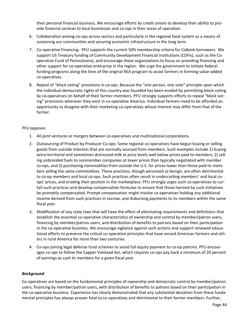their personal financial business. We encourage efforts by credit unions to develop their ability to provide financial services to local businesses and co-ops in their areas of operation.

- 6. Collaboration among co-ops across sectors and particularly in the regional food system as a means of sustaining our communities and securing economic infrastructure in the long term.
- 7. Co-operative Financing: PFU supports the current 50% membership criteria for CoBank borrowers. We support US Treasury funding of Community Development Financial Institutions (CDFIs), such as the Cooperative Fund of Pennsylvania, and encourage these organizations to focus on providing financing and other support for co-operative enterprise in the region. We urge the government to initiate federal funding programs along the lines of the original REA program to assist farmers in forming value-added co-operatives.
- 8. Repeal of "block voting" provisions in co-ops. Because the "one person, one vote" principle upon which the individual democratic rights of this country was founded has been eroded by permitting block voting by co-operatives on behalf of their farmer-members, PFU strongly supports efforts to repeal "block voting" provisions wherever they exist in co-operative America. Individual farmers need to be afforded an opportunity to disagree with their marketing co-operatives whose interest may differ from that of the farmer.

## PFU opposes:

- 1. All joint ventures or mergers between co-operatives and multinational corporations.
- 2. Outsourcing of Product by Producer Co-ops: Some regional co-operatives have begun buying or selling goods from outside interests that are normally sourced from members. Such examples include 1) buying extra-territorial and sometimes distressed milk at price levels well below prices paid to members, 2) selling unbranded fuels to nonmember companies at lower prices than typically negotiated with member co-ops, and 3) purchasing commodities from outside the U.S. for prices lower than those paid its members selling the same commodities. These practices, though perceived as benign, are often detrimental to co-op members and local co-ops. Such practices often result in undercutting members' and local coops' prices, and eroding their position in the marketplace. PFU strongly urges such co-operatives to curtail such practices and develop compensation formulas to ensure that those harmed by such initiatives be promptly compensated. Prompt compensation might involve co-operatives holding any additional income derived from such practices in escrow, and disbursing payments to its members within the same fiscal year.
- 3. Modification of any state laws that will have the effect of eliminating requirements and definitions that establish the essential co-operative characteristics of ownership and control by member/patron users, financing by member/patron users, and distribution of benefits to patrons based on their participation in the co-operative business. We encourage vigilance against such actions and support renewed educational efforts to preserve the critical co-operative principles that have served American farmers and others in rural America for more than two centuries.
- 4. Co-ops joining legal defense fund schemes to avoid full equity payment to co-op patrons. PFU encourages co-ops to follow the Capper Volstead Act, which requires co-ops pay back a minimum of 20 percent of earnings as cash to members for a given fiscal year.

#### *Background*

Co-operatives are based on the fundamental principles of ownership and democratic control by member/patron users, financing by member/patron users, with distribution of benefits to patrons based on their participation in the co-operative business. Experience has clearly demonstrated that any substantial deviation from these fundamental principles has always proven fatal to co-operatives and detrimental to their farmer members. Further,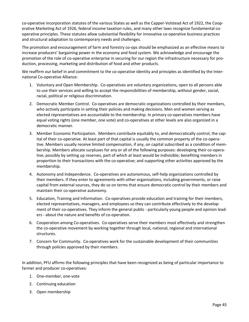co-operative incorporation statutes of the various States as well as the Capper-Volstead Act of 1922, the Cooperative Marketing Act of 1926, federal income taxation rules, and many other laws recognize fundamental cooperative principles. These statutes allow substantial flexibility for innovative co-operative business practices and structural adaptation to contemporary needs and challenges.

The promotion and encouragement of farm and forestry co-ops should be emphasized as an effective means to increase producers' bargaining power in the economy and food system. We acknowledge and encourage the promotion of the role of co-operative enterprise in securing for our region the infrastructure necessary for production, processing, marketing and distribution of food and other products.

We reaffirm our belief in and commitment to the co-operative identity and principles as identified by the International Co-operative Alliance:

- 1. Voluntary and Open Membership. Co-operatives are voluntary organizations, open to all persons able to use their services and willing to accept the responsibilities of membership, without gender, social, racial, political or religious discrimination.
- 2. Democratic Member Control. Co-operatives are democratic organizations controlled by their members, who actively participate in setting their policies and making decisions. Men and women serving as elected representatives are accountable to the membership. In primary co-operatives members have equal voting rights (one member, one vote) and co-operatives at other levels are also organized in a democratic manner.
- 3. Member Economic Participation. Members contribute equitably to, and democratically control, the capital of their co-operative. At least part of that capital is usually the common property of the co-operative. Members usually receive limited compensation, if any, on capital subscribed as a condition of membership. Members allocate surpluses for any or all of the following purposes: developing their co-operative, possibly by setting up reserves, part of which at least would be indivisible; benefiting members in proportion to their transactions with the co-operative; and supporting other activities approved by the membership.
- 4. Autonomy and Independence. Co-operatives are autonomous, self-help organizations controlled by their members. If they enter to agreements with other organizations, including governments, or raise capital from external sources, they do so on terms that ensure democratic control by their members and maintain their co-operative autonomy.
- 5. Education, Training and Information. Co-operatives provide education and training for their members, elected representatives, managers, and employees so they can contribute effectively to the development of their co-operatives. They inform the general public - particularly young people and opinion leaders - about the nature and benefits of co-operation.
- 6. Cooperation among Co-operatives. Co-operatives serve their members most effectively and strengthen the co-operative movement by working together through local, national, regional and international structures.
- 7. Concern for Community. Co-operatives work for the sustainable development of their communities through policies approved by their members.

In addition, PFU affirms the following principles that have been recognized as being of particular importance to farmer and producer co-operatives:

- 1. One-member, one-vote
- 2. Continuing education
- 3. Open membership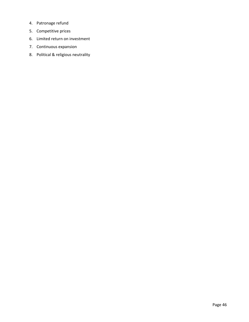- 4. Patronage refund
- 5. Competitive prices
- 6. Limited return on investment
- 7. Continuous expansion
- 8. Political & religious neutrality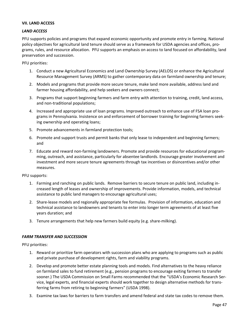#### **VII. LAND ACCESS**

#### *LAND ACCESS*

PFU supports policies and programs that expand economic opportunity and promote entry in farming. National policy objectives for agricultural land tenure should serve as a framework for USDA agencies and offices, programs, rules, and resource allocation. PFU supports an emphasis on access to land focused on affordability, land preservation and succession.

PFU priorities:

- 1. Conduct a new Agricultural Economics and Land Ownership Survey (AELOS) or enhance the Agricultural Resource Management Survey (ARMS) to gather contemporary data on farmland ownership and tenure;
- 2. Models and programs that provide more secure tenure, make land more available, address land and farmer housing affordability, and help seekers and owners connect;
- 3. Programs that support beginning farmers and farm entry with attention to training, credit, land access, and non-traditional populations;
- 4. Increased and appropriate use of loan programs. Improved outreach to enhance use of FSA loan programs in Pennsylvania. Insistence on and enforcement of borrower training for beginning farmers seeking ownership and operating loans;
- 5. Promote advancements in farmland protection tools;
- 6. Promote and support trusts and permit banks that only lease to independent and beginning farmers; and
- 7. Educate and reward non-farming landowners. Promote and provide resources for educational programming, outreach, and assistance, particularly for absentee landlords. Encourage greater involvement and investment and more secure tenure agreements through tax incentives or disincentives and/or other measures.

#### PFU supports:

- 1. Farming and ranching on public lands. Remove barriers to secure tenure on public land, including increased length of leases and ownership of improvements. Provide information, models, and technical assistance to public land managers to encourage agricultural uses;
- 2. Share-lease models and regionally appropriate fee formulas. Provision of information, education and technical assistance to landowners and tenants to enter into longer term agreements of at least five years duration; and
- 3. Tenure arrangements that help new farmers build equity (e.g. share-milking).

#### *FARM TRANSFER AND SUCCESSION*

PFU priorities:

- 1. Reward or prioritize farm operators with succession plans who are applying to programs such as public and private purchase of development rights, farm and viability programs.
- 2. Develop and promote better estate planning tools and models. Find alternatives to the heavy reliance on farmland sales to fund retirement (e.g., pension programs to encourage exiting farmers to transfer sooner.) The USDA Commission on Small Farms recommended that the "USDA's Economic Research Service, legal experts, and financial experts should work together to design alternative methods for transferring farms from retiring to beginning farmers" (USDA 1998).
- 3. Examine tax laws for barriers to farm transfers and amend federal and state tax codes to remove them.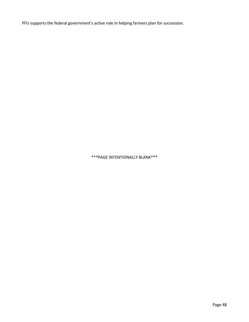PFU supports the federal government's active role in helping farmers plan for succession.

\*\*\*PAGE INTENTIONALLY BLANK\*\*\*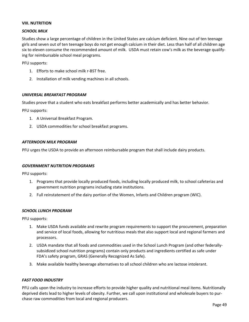#### **VIII. NUTRITION**

#### *SCHOOL MILK*

Studies show a large percentage of children in the United States are calcium deficient. Nine out of ten teenage girls and seven out of ten teenage boys do not get enough calcium in their diet. Less than half of all children age six to eleven consume the recommended amount of milk. USDA must retain cow's milk as the beverage qualifying for reimbursable school meal programs.

PFU supports:

- 1. Efforts to make school milk r-BST free.
- 2. Installation of milk vending machines in all schools.

#### *UNIVERSAL BREAKFAST PROGRAM*

Studies prove that a student who eats breakfast performs better academically and has better behavior.

PFU supports:

- 1. A Universal Breakfast Program.
- 2. USDA commodities for school breakfast programs.

#### *AFTERNOON MILK PROGRAM*

PFU urges the USDA to provide an afternoon reimbursable program that shall include dairy products.

#### *GOVERNMENT NUTRITION PROGRAMS*

PFU supports:

- 1. Programs that provide locally produced foods, including locally produced milk, to school cafeterias and government nutrition programs including state institutions.
- 2. Full reinstatement of the dairy portion of the Women, Infants and Children program (WIC).

#### *SCHOOL LUNCH PROGRAM*

PFU supports:

- 1. Make USDA funds available and rewrite program requirements to support the procurement, preparation and service of local foods, allowing for nutritious meals that also support local and regional farmers and processors.
- 2. USDA mandate that all foods and commodities used in the School Lunch Program (and other federallysubsidized school nutrition programs) contain only products and ingredients certified as safe under FDA's safety program, GRAS (Generally Recognized As Safe).
- 3. Make available healthy beverage alternatives to all school children who are lactose intolerant.

#### *FAST FOOD INDUSTRY*

PFU calls upon the industry to increase efforts to provide higher quality and nutritional meal items. Nutritionally deprived diets lead to higher levels of obesity. Further, we call upon institutional and wholesale buyers to purchase raw commodities from local and regional producers.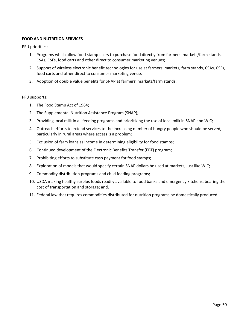# **FOOD AND NUTRITION SERVICES**

PFU priorities:

- 1. Programs which allow food stamp users to purchase food directly from farmers' markets/farm stands, CSAs, CSFs, food carts and other direct to consumer marketing venues;
- 2. Support of wireless electronic benefit technologies for use at farmers' markets, farm stands, CSAs, CSFs, food carts and other direct to consumer marketing venue.
- 3. Adoption of double value benefits for SNAP at farmers' markets/farm stands.

- 1. The Food Stamp Act of 1964;
- 2. The Supplemental Nutrition Assistance Program (SNAP);
- 3. Providing local milk in all feeding programs and prioritizing the use of local milk in SNAP and WIC;
- 4. Outreach efforts to extend services to the increasing number of hungry people who should be served, particularly in rural areas where access is a problem;
- 5. Exclusion of farm loans as income in determining eligibility for food stamps;
- 6. Continued development of the Electronic Benefits Transfer (EBT) program;
- 7. Prohibiting efforts to substitute cash payment for food stamps;
- 8. Exploration of models that would specify certain SNAP dollars be used at markets, just like WIC;
- 9. Commodity distribution programs and child feeding programs;
- 10. USDA making healthy surplus foods readily available to food banks and emergency kitchens, bearing the cost of transportation and storage; and,
- 11. Federal law that requires commodities distributed for nutrition programs be domestically produced.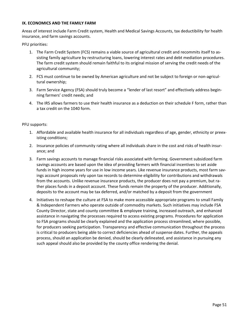#### **IX. ECONOMICS AND THE FAMILY FARM**

Areas of interest include Farm Credit system, Health and Medical Savings Accounts, tax deductibility for health insurance, and farm savings accounts.

PFU priorities:

- 1. The Farm Credit System (FCS) remains a viable source of agricultural credit and recommits itself to assisting family agriculture by restructuring loans, lowering interest rates and debt mediation procedures. The farm credit system should remain faithful to its original mission of serving the credit needs of the agricultural community;
- 2. FCS must continue to be owned by American agriculture and not be subject to foreign or non-agricultural ownership;
- 3. Farm Service Agency (FSA) should truly become a "lender of last resort" and effectively address beginning farmers' credit needs; and
- 4. The IRS allows farmers to use their health insurance as a deduction on their schedule F form, rather than a tax credit on the 1040 form.

- 1. Affordable and available health insurance for all individuals regardless of age, gender, ethnicity or preexisting conditions;
- 2. Insurance policies of community rating where all individuals share in the cost and risks of health insurance; and
- 3. Farm savings accounts to manage financial risks associated with farming. Government subsidized farm savings accounts are based upon the idea of providing farmers with financial incentives to set aside funds in high income years for use in low income years. Like revenue insurance products, most farm savings account proposals rely upon tax records to determine eligibility for contributions and withdrawals from the accounts. Unlike revenue insurance products, the producer does not pay a premium, but rather places funds in a deposit account. These funds remain the property of the producer. Additionally, deposits to the account may be tax deferred, and/or matched by a deposit from the government
- 4. Initiatives to reshape the culture at FSA to make more accessible appropriate programs to small Family & Independent Farmers who operate outside of commodity markets. Such initiatives may include FSA County Director, state and county committee & employee training, increased outreach, and enhanced assistance in navigating the processes required to access existing programs. Procedures for application to FSA programs should be clearly explained and the application process streamlined, where possible, for producers seeking participation. Transparency and effective communication throughout the process is critical to producers being able to correct deficiencies ahead of suspense dates. Further, the appeals process, should an application be denied, should be clearly delineated, and assistance in pursuing any such appeal should also be provided by the county office rendering the denial.